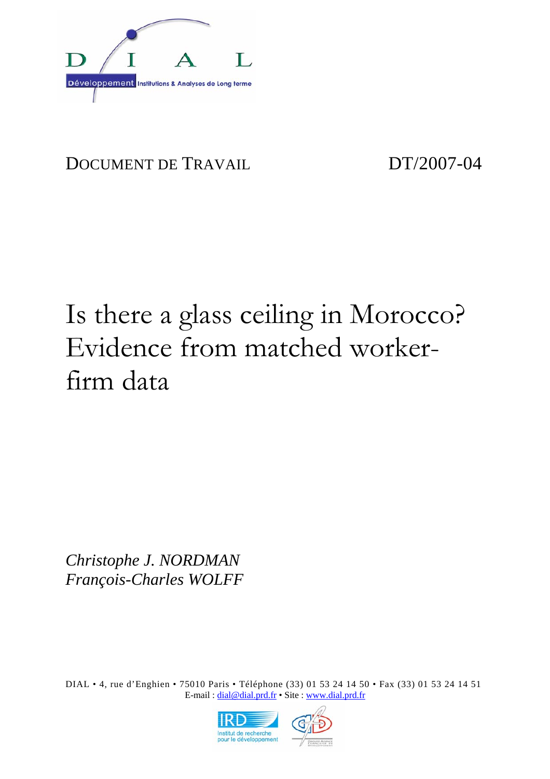

# DOCUMENT DE TRAVAIL DT/2007-04

# Is there a glass ceiling in Morocco? Evidence from matched workerfirm data

*Christophe J. NORDMAN François-Charles WOLFF* 

DIAL • 4, rue d'Enghien • 75010 Paris • Téléphone (33) 01 53 24 14 50 • Fax (33) 01 53 24 14 51 E-mail : dial@dial.prd.fr • Site : www.dial.prd.fr

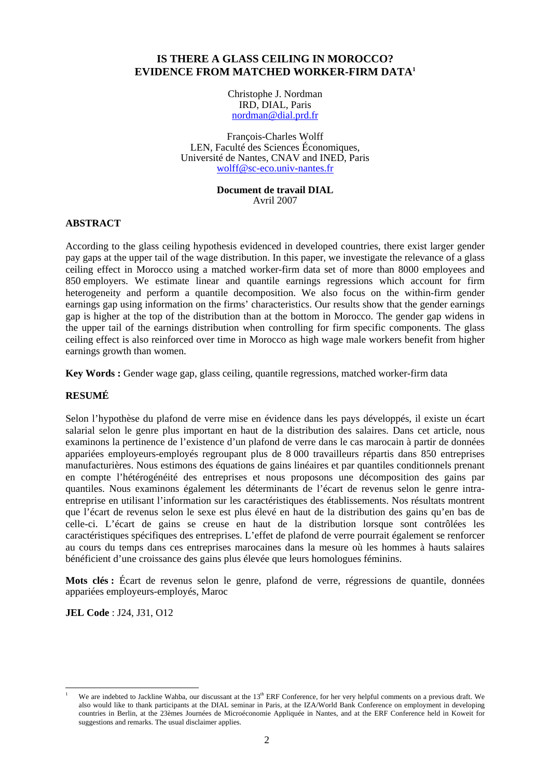#### **IS THERE A GLASS CEILING IN MOROCCO? EVIDENCE FROM MATCHED WORKER-FIRM DATA1**

Christophe J. Nordman IRD, DIAL, Paris nordman@dial.prd.fr

François-Charles Wolff LEN, Faculté des Sciences Économiques, Université de Nantes, CNAV and INED, Paris wolff@sc-eco.univ-nantes.fr

#### **Document de travail DIAL**  Avril 2007

#### **ABSTRACT**

According to the glass ceiling hypothesis evidenced in developed countries, there exist larger gender pay gaps at the upper tail of the wage distribution. In this paper, we investigate the relevance of a glass ceiling effect in Morocco using a matched worker-firm data set of more than 8000 employees and 850 employers. We estimate linear and quantile earnings regressions which account for firm heterogeneity and perform a quantile decomposition. We also focus on the within-firm gender earnings gap using information on the firms' characteristics. Our results show that the gender earnings gap is higher at the top of the distribution than at the bottom in Morocco. The gender gap widens in the upper tail of the earnings distribution when controlling for firm specific components. The glass ceiling effect is also reinforced over time in Morocco as high wage male workers benefit from higher earnings growth than women.

**Key Words :** Gender wage gap, glass ceiling, quantile regressions, matched worker-firm data

#### **RESUMÉ**

Selon l'hypothèse du plafond de verre mise en évidence dans les pays développés, il existe un écart salarial selon le genre plus important en haut de la distribution des salaires. Dans cet article, nous examinons la pertinence de l'existence d'un plafond de verre dans le cas marocain à partir de données appariées employeurs-employés regroupant plus de 8 000 travailleurs répartis dans 850 entreprises manufacturières. Nous estimons des équations de gains linéaires et par quantiles conditionnels prenant en compte l'hétérogénéité des entreprises et nous proposons une décomposition des gains par quantiles. Nous examinons également les déterminants de l'écart de revenus selon le genre intraentreprise en utilisant l'information sur les caractéristiques des établissements. Nos résultats montrent que l'écart de revenus selon le sexe est plus élevé en haut de la distribution des gains qu'en bas de celle-ci. L'écart de gains se creuse en haut de la distribution lorsque sont contrôlées les caractéristiques spécifiques des entreprises. L'effet de plafond de verre pourrait également se renforcer au cours du temps dans ces entreprises marocaines dans la mesure où les hommes à hauts salaires bénéficient d'une croissance des gains plus élevée que leurs homologues féminins.

**Mots clés :** Écart de revenus selon le genre, plafond de verre, régressions de quantile, données appariées employeurs-employés, Maroc

**JEL Code** : J24, J31, O12

l 1 We are indebted to Jackline Wahba, our discussant at the 13<sup>th</sup> ERF Conference, for her very helpful comments on a previous draft. We also would like to thank participants at the DIAL seminar in Paris, at the IZA/World Bank Conference on employment in developing countries in Berlin, at the 23èmes Journées de Microéconomie Appliquée in Nantes, and at the ERF Conference held in Koweit for suggestions and remarks. The usual disclaimer applies.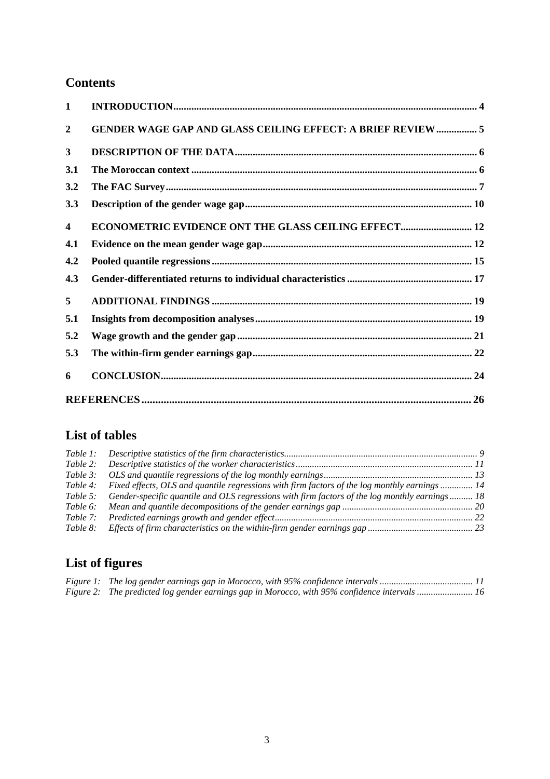### **Contents**

| $\mathbf{1}$   |                                                                    |  |
|----------------|--------------------------------------------------------------------|--|
| $\overline{2}$ | <b>GENDER WAGE GAP AND GLASS CEILING EFFECT: A BRIEF REVIEW  5</b> |  |
| $\mathbf{3}$   |                                                                    |  |
| 3.1            |                                                                    |  |
| 3.2            |                                                                    |  |
| 3.3            |                                                                    |  |
| 4              | <b>ECONOMETRIC EVIDENCE ONT THE GLASS CEILING EFFECT 12</b>        |  |
| 4.1            |                                                                    |  |
| 4.2            |                                                                    |  |
| 4.3            |                                                                    |  |
| 5              |                                                                    |  |
| 5.1            |                                                                    |  |
| 5.2            |                                                                    |  |
| 5.3            |                                                                    |  |
| 6              |                                                                    |  |
|                |                                                                    |  |

## **List of tables**

| Table 2: |                                                                                                  |  |
|----------|--------------------------------------------------------------------------------------------------|--|
| Table 3: |                                                                                                  |  |
| Table 4: | Fixed effects, OLS and quantile regressions with firm factors of the log monthly earnings 14     |  |
| Table 5: | 6. Gender-specific quantile and OLS regressions with firm factors of the log monthly earnings 18 |  |
| Table 6: |                                                                                                  |  |
| Table 7: |                                                                                                  |  |
| Table 8: |                                                                                                  |  |
|          |                                                                                                  |  |

## **List of figures**

|  | Figure 2: The predicted log gender earnings gap in Morocco, with 95% confidence intervals  16 |  |
|--|-----------------------------------------------------------------------------------------------|--|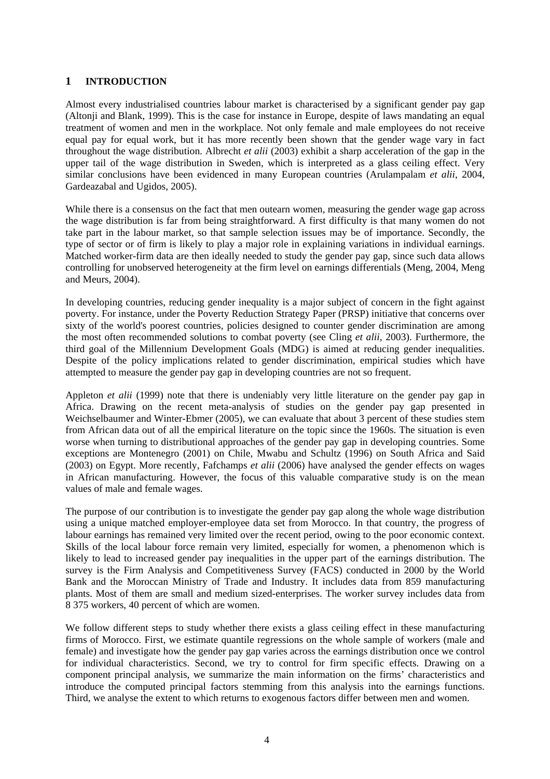#### **1 INTRODUCTION**

Almost every industrialised countries labour market is characterised by a significant gender pay gap (Altonji and Blank, 1999). This is the case for instance in Europe, despite of laws mandating an equal treatment of women and men in the workplace. Not only female and male employees do not receive equal pay for equal work, but it has more recently been shown that the gender wage vary in fact throughout the wage distribution. Albrecht *et alii* (2003) exhibit a sharp acceleration of the gap in the upper tail of the wage distribution in Sweden, which is interpreted as a glass ceiling effect. Very similar conclusions have been evidenced in many European countries (Arulampalam *et alii*, 2004, Gardeazabal and Ugidos, 2005).

While there is a consensus on the fact that men outearn women, measuring the gender wage gap across the wage distribution is far from being straightforward. A first difficulty is that many women do not take part in the labour market, so that sample selection issues may be of importance. Secondly, the type of sector or of firm is likely to play a major role in explaining variations in individual earnings. Matched worker-firm data are then ideally needed to study the gender pay gap, since such data allows controlling for unobserved heterogeneity at the firm level on earnings differentials (Meng, 2004, Meng and Meurs, 2004).

In developing countries, reducing gender inequality is a major subject of concern in the fight against poverty. For instance, under the Poverty Reduction Strategy Paper (PRSP) initiative that concerns over sixty of the world's poorest countries, policies designed to counter gender discrimination are among the most often recommended solutions to combat poverty (see Cling *et alii*, 2003). Furthermore, the third goal of the Millennium Development Goals (MDG) is aimed at reducing gender inequalities. Despite of the policy implications related to gender discrimination, empirical studies which have attempted to measure the gender pay gap in developing countries are not so frequent.

Appleton *et alii* (1999) note that there is undeniably very little literature on the gender pay gap in Africa. Drawing on the recent meta-analysis of studies on the gender pay gap presented in Weichselbaumer and Winter-Ebmer (2005), we can evaluate that about 3 percent of these studies stem from African data out of all the empirical literature on the topic since the 1960s. The situation is even worse when turning to distributional approaches of the gender pay gap in developing countries. Some exceptions are Montenegro (2001) on Chile, Mwabu and Schultz (1996) on South Africa and Said (2003) on Egypt. More recently, Fafchamps *et alii* (2006) have analysed the gender effects on wages in African manufacturing. However, the focus of this valuable comparative study is on the mean values of male and female wages.

The purpose of our contribution is to investigate the gender pay gap along the whole wage distribution using a unique matched employer-employee data set from Morocco. In that country, the progress of labour earnings has remained very limited over the recent period, owing to the poor economic context. Skills of the local labour force remain very limited, especially for women, a phenomenon which is likely to lead to increased gender pay inequalities in the upper part of the earnings distribution. The survey is the Firm Analysis and Competitiveness Survey (FACS) conducted in 2000 by the World Bank and the Moroccan Ministry of Trade and Industry. It includes data from 859 manufacturing plants. Most of them are small and medium sized-enterprises. The worker survey includes data from 8 375 workers, 40 percent of which are women.

We follow different steps to study whether there exists a glass ceiling effect in these manufacturing firms of Morocco. First, we estimate quantile regressions on the whole sample of workers (male and female) and investigate how the gender pay gap varies across the earnings distribution once we control for individual characteristics. Second, we try to control for firm specific effects. Drawing on a component principal analysis, we summarize the main information on the firms' characteristics and introduce the computed principal factors stemming from this analysis into the earnings functions. Third, we analyse the extent to which returns to exogenous factors differ between men and women.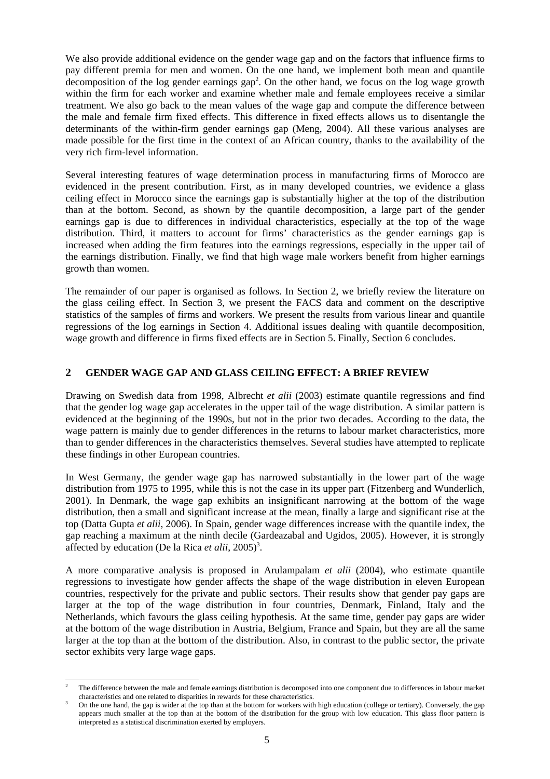We also provide additional evidence on the gender wage gap and on the factors that influence firms to pay different premia for men and women. On the one hand, we implement both mean and quantile decomposition of the log gender earnings  $\text{gap}^2$ . On the other hand, we focus on the log wage growth within the firm for each worker and examine whether male and female employees receive a similar treatment. We also go back to the mean values of the wage gap and compute the difference between the male and female firm fixed effects. This difference in fixed effects allows us to disentangle the determinants of the within-firm gender earnings gap (Meng, 2004). All these various analyses are made possible for the first time in the context of an African country, thanks to the availability of the very rich firm-level information.

Several interesting features of wage determination process in manufacturing firms of Morocco are evidenced in the present contribution. First, as in many developed countries, we evidence a glass ceiling effect in Morocco since the earnings gap is substantially higher at the top of the distribution than at the bottom. Second, as shown by the quantile decomposition, a large part of the gender earnings gap is due to differences in individual characteristics, especially at the top of the wage distribution. Third, it matters to account for firms' characteristics as the gender earnings gap is increased when adding the firm features into the earnings regressions, especially in the upper tail of the earnings distribution. Finally, we find that high wage male workers benefit from higher earnings growth than women.

The remainder of our paper is organised as follows. In Section 2, we briefly review the literature on the glass ceiling effect. In Section 3, we present the FACS data and comment on the descriptive statistics of the samples of firms and workers. We present the results from various linear and quantile regressions of the log earnings in Section 4. Additional issues dealing with quantile decomposition, wage growth and difference in firms fixed effects are in Section 5. Finally, Section 6 concludes.

#### **2 GENDER WAGE GAP AND GLASS CEILING EFFECT: A BRIEF REVIEW**

Drawing on Swedish data from 1998, Albrecht *et alii* (2003) estimate quantile regressions and find that the gender log wage gap accelerates in the upper tail of the wage distribution. A similar pattern is evidenced at the beginning of the 1990s, but not in the prior two decades. According to the data, the wage pattern is mainly due to gender differences in the returns to labour market characteristics, more than to gender differences in the characteristics themselves. Several studies have attempted to replicate these findings in other European countries.

In West Germany, the gender wage gap has narrowed substantially in the lower part of the wage distribution from 1975 to 1995, while this is not the case in its upper part (Fitzenberg and Wunderlich, 2001). In Denmark, the wage gap exhibits an insignificant narrowing at the bottom of the wage distribution, then a small and significant increase at the mean, finally a large and significant rise at the top (Datta Gupta *et alii*, 2006). In Spain, gender wage differences increase with the quantile index, the gap reaching a maximum at the ninth decile (Gardeazabal and Ugidos, 2005). However, it is strongly affected by education (De la Rica *et alii*, 2005)<sup>3</sup>.

A more comparative analysis is proposed in Arulampalam *et alii* (2004), who estimate quantile regressions to investigate how gender affects the shape of the wage distribution in eleven European countries, respectively for the private and public sectors. Their results show that gender pay gaps are larger at the top of the wage distribution in four countries, Denmark, Finland, Italy and the Netherlands, which favours the glass ceiling hypothesis. At the same time, gender pay gaps are wider at the bottom of the wage distribution in Austria, Belgium, France and Spain, but they are all the same larger at the top than at the bottom of the distribution. Also, in contrast to the public sector, the private sector exhibits very large wage gaps.

l 2 The difference between the male and female earnings distribution is decomposed into one component due to differences in labour market characteristics and one related to disparities in rewards for these characteristics. 3

On the one hand, the gap is wider at the top than at the bottom for workers with high education (college or tertiary). Conversely, the gap appears much smaller at the top than at the bottom of the distribution for the group with low education. This glass floor pattern is interpreted as a statistical discrimination exerted by employers.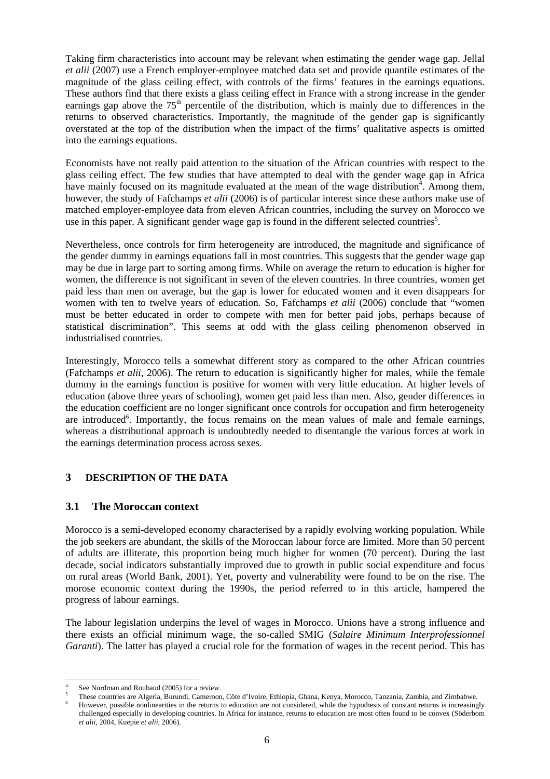Taking firm characteristics into account may be relevant when estimating the gender wage gap. Jellal *et alii* (2007) use a French employer-employee matched data set and provide quantile estimates of the magnitude of the glass ceiling effect, with controls of the firms' features in the earnings equations. These authors find that there exists a glass ceiling effect in France with a strong increase in the gender earnings gap above the  $75<sup>th</sup>$  percentile of the distribution, which is mainly due to differences in the returns to observed characteristics. Importantly, the magnitude of the gender gap is significantly overstated at the top of the distribution when the impact of the firms' qualitative aspects is omitted into the earnings equations.

Economists have not really paid attention to the situation of the African countries with respect to the glass ceiling effect. The few studies that have attempted to deal with the gender wage gap in Africa have mainly focused on its magnitude evaluated at the mean of the wage distribution<sup>4</sup>. Among them, however, the study of Fafchamps *et alii* (2006) is of particular interest since these authors make use of matched employer-employee data from eleven African countries, including the survey on Morocco we use in this paper. A significant gender wage gap is found in the different selected countries<sup>5</sup>.

Nevertheless, once controls for firm heterogeneity are introduced, the magnitude and significance of the gender dummy in earnings equations fall in most countries. This suggests that the gender wage gap may be due in large part to sorting among firms. While on average the return to education is higher for women, the difference is not significant in seven of the eleven countries. In three countries, women get paid less than men on average, but the gap is lower for educated women and it even disappears for women with ten to twelve years of education. So, Fafchamps *et alii* (2006) conclude that "women must be better educated in order to compete with men for better paid jobs, perhaps because of statistical discrimination". This seems at odd with the glass ceiling phenomenon observed in industrialised countries.

Interestingly, Morocco tells a somewhat different story as compared to the other African countries (Fafchamps *et alii*, 2006). The return to education is significantly higher for males, while the female dummy in the earnings function is positive for women with very little education. At higher levels of education (above three years of schooling), women get paid less than men. Also, gender differences in the education coefficient are no longer significant once controls for occupation and firm heterogeneity are introduced<sup>6</sup>. Importantly, the focus remains on the mean values of male and female earnings, whereas a distributional approach is undoubtedly needed to disentangle the various forces at work in the earnings determination process across sexes.

#### **3 DESCRIPTION OF THE DATA**

#### **3.1 The Moroccan context**

Morocco is a semi-developed economy characterised by a rapidly evolving working population. While the job seekers are abundant, the skills of the Moroccan labour force are limited. More than 50 percent of adults are illiterate, this proportion being much higher for women (70 percent). During the last decade, social indicators substantially improved due to growth in public social expenditure and focus on rural areas (World Bank, 2001). Yet, poverty and vulnerability were found to be on the rise. The morose economic context during the 1990s, the period referred to in this article, hampered the progress of labour earnings.

The labour legislation underpins the level of wages in Morocco. Unions have a strong influence and there exists an official minimum wage, the so-called SMIG (*Salaire Minimum Interprofessionnel Garanti*). The latter has played a crucial role for the formation of wages in the recent period. This has

l 4 See Nordman and Roubaud (2005) for a review.

<sup>5</sup> These countries are Algeria, Burundi, Cameroon, Côte d'Ivoire, Ethiopia, Ghana, Kenya, Morocco, Tanzania, Zambia, and Zimbabwe. 6

However, possible nonlinearities in the returns to education are not considered, while the hypothesis of constant returns is increasingly challenged especially in developing countries. In Africa for instance, returns to education are most often found to be convex (Söderbom *et alii*, 2004, Kuepie *et alii*, 2006).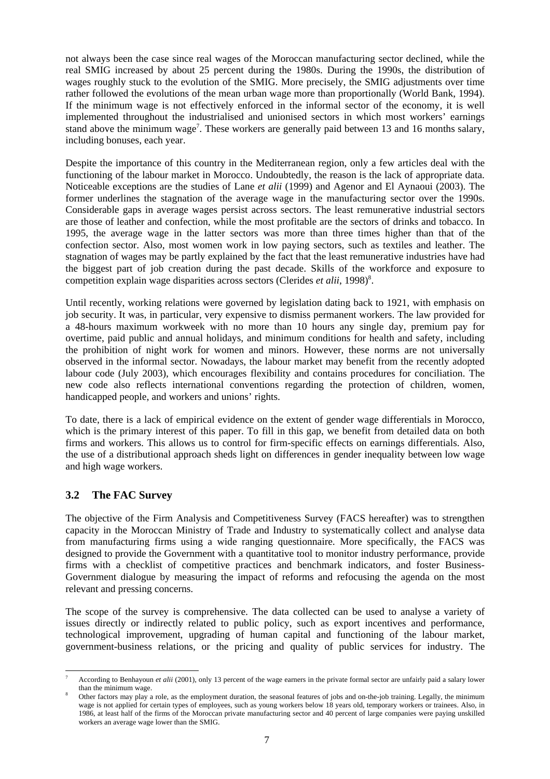not always been the case since real wages of the Moroccan manufacturing sector declined, while the real SMIG increased by about 25 percent during the 1980s. During the 1990s, the distribution of wages roughly stuck to the evolution of the SMIG. More precisely, the SMIG adjustments over time rather followed the evolutions of the mean urban wage more than proportionally (World Bank, 1994). If the minimum wage is not effectively enforced in the informal sector of the economy, it is well implemented throughout the industrialised and unionised sectors in which most workers' earnings stand above the minimum wage<sup>7</sup>. These workers are generally paid between 13 and 16 months salary, including bonuses, each year.

Despite the importance of this country in the Mediterranean region, only a few articles deal with the functioning of the labour market in Morocco. Undoubtedly, the reason is the lack of appropriate data. Noticeable exceptions are the studies of Lane *et alii* (1999) and Agenor and El Aynaoui (2003). The former underlines the stagnation of the average wage in the manufacturing sector over the 1990s. Considerable gaps in average wages persist across sectors. The least remunerative industrial sectors are those of leather and confection, while the most profitable are the sectors of drinks and tobacco. In 1995, the average wage in the latter sectors was more than three times higher than that of the confection sector. Also, most women work in low paying sectors, such as textiles and leather. The stagnation of wages may be partly explained by the fact that the least remunerative industries have had the biggest part of job creation during the past decade. Skills of the workforce and exposure to competition explain wage disparities across sectors (Clerides *et alii*, 1998)<sup>8</sup>.

Until recently, working relations were governed by legislation dating back to 1921, with emphasis on job security. It was, in particular, very expensive to dismiss permanent workers. The law provided for a 48-hours maximum workweek with no more than 10 hours any single day, premium pay for overtime, paid public and annual holidays, and minimum conditions for health and safety, including the prohibition of night work for women and minors. However, these norms are not universally observed in the informal sector. Nowadays, the labour market may benefit from the recently adopted labour code (July 2003), which encourages flexibility and contains procedures for conciliation. The new code also reflects international conventions regarding the protection of children, women, handicapped people, and workers and unions' rights.

To date, there is a lack of empirical evidence on the extent of gender wage differentials in Morocco, which is the primary interest of this paper. To fill in this gap, we benefit from detailed data on both firms and workers. This allows us to control for firm-specific effects on earnings differentials. Also, the use of a distributional approach sheds light on differences in gender inequality between low wage and high wage workers.

#### **3.2 The FAC Survey**

The objective of the Firm Analysis and Competitiveness Survey (FACS hereafter) was to strengthen capacity in the Moroccan Ministry of Trade and Industry to systematically collect and analyse data from manufacturing firms using a wide ranging questionnaire. More specifically, the FACS was designed to provide the Government with a quantitative tool to monitor industry performance, provide firms with a checklist of competitive practices and benchmark indicators, and foster Business-Government dialogue by measuring the impact of reforms and refocusing the agenda on the most relevant and pressing concerns.

The scope of the survey is comprehensive. The data collected can be used to analyse a variety of issues directly or indirectly related to public policy, such as export incentives and performance, technological improvement, upgrading of human capital and functioning of the labour market, government-business relations, or the pricing and quality of public services for industry. The

 $\overline{a}$ 7 According to Benhayoun *et alii* (2001), only 13 percent of the wage earners in the private formal sector are unfairly paid a salary lower than the minimum wage.

Other factors may play a role, as the employment duration, the seasonal features of jobs and on-the-job training. Legally, the minimum wage is not applied for certain types of employees, such as young workers below 18 years old, temporary workers or trainees. Also, in 1986, at least half of the firms of the Moroccan private manufacturing sector and 40 percent of large companies were paying unskilled workers an average wage lower than the SMIG.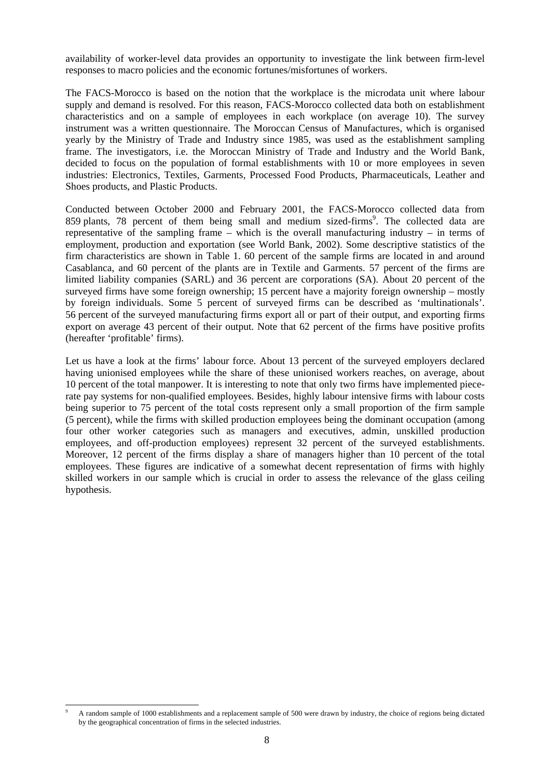availability of worker-level data provides an opportunity to investigate the link between firm-level responses to macro policies and the economic fortunes/misfortunes of workers.

The FACS-Morocco is based on the notion that the workplace is the microdata unit where labour supply and demand is resolved. For this reason, FACS-Morocco collected data both on establishment characteristics and on a sample of employees in each workplace (on average 10). The survey instrument was a written questionnaire. The Moroccan Census of Manufactures, which is organised yearly by the Ministry of Trade and Industry since 1985, was used as the establishment sampling frame. The investigators, i.e. the Moroccan Ministry of Trade and Industry and the World Bank, decided to focus on the population of formal establishments with 10 or more employees in seven industries: Electronics, Textiles, Garments, Processed Food Products, Pharmaceuticals, Leather and Shoes products, and Plastic Products.

Conducted between October 2000 and February 2001, the FACS-Morocco collected data from 859 plants, 78 percent of them being small and medium sized-firms<sup>9</sup>. The collected data are representative of the sampling frame – which is the overall manufacturing industry – in terms of employment, production and exportation (see World Bank, 2002). Some descriptive statistics of the firm characteristics are shown in Table 1. 60 percent of the sample firms are located in and around Casablanca, and 60 percent of the plants are in Textile and Garments. 57 percent of the firms are limited liability companies (SARL) and 36 percent are corporations (SA). About 20 percent of the surveyed firms have some foreign ownership; 15 percent have a majority foreign ownership – mostly by foreign individuals. Some 5 percent of surveyed firms can be described as 'multinationals'. 56 percent of the surveyed manufacturing firms export all or part of their output, and exporting firms export on average 43 percent of their output. Note that 62 percent of the firms have positive profits (hereafter 'profitable' firms).

Let us have a look at the firms' labour force. About 13 percent of the surveyed employers declared having unionised employees while the share of these unionised workers reaches, on average, about 10 percent of the total manpower. It is interesting to note that only two firms have implemented piecerate pay systems for non-qualified employees. Besides, highly labour intensive firms with labour costs being superior to 75 percent of the total costs represent only a small proportion of the firm sample (5 percent), while the firms with skilled production employees being the dominant occupation (among four other worker categories such as managers and executives, admin, unskilled production employees, and off-production employees) represent 32 percent of the surveyed establishments. Moreover, 12 percent of the firms display a share of managers higher than 10 percent of the total employees. These figures are indicative of a somewhat decent representation of firms with highly skilled workers in our sample which is crucial in order to assess the relevance of the glass ceiling hypothesis.

l 9 A random sample of 1000 establishments and a replacement sample of 500 were drawn by industry, the choice of regions being dictated by the geographical concentration of firms in the selected industries.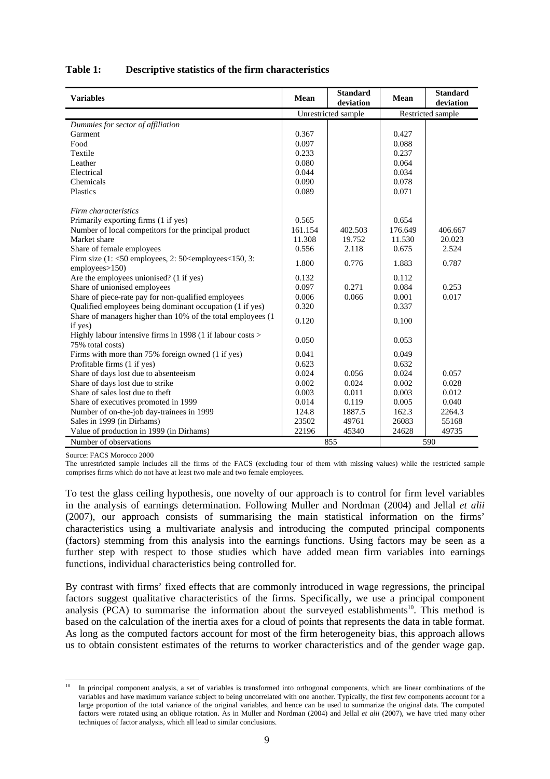#### **Table 1: Descriptive statistics of the firm characteristics**

| <b>Variables</b>                                                               | <b>Mean</b> | <b>Standard</b><br>deviation |                   | <b>Standard</b><br>deviation |  |
|--------------------------------------------------------------------------------|-------------|------------------------------|-------------------|------------------------------|--|
|                                                                                |             | Unrestricted sample          | Restricted sample |                              |  |
| Dummies for sector of affiliation                                              |             |                              |                   |                              |  |
| Garment                                                                        | 0.367       |                              | 0.427             |                              |  |
| Food                                                                           | 0.097       |                              | 0.088             |                              |  |
| Textile                                                                        | 0.233       |                              | 0.237             |                              |  |
| Leather                                                                        | 0.080       |                              | 0.064             |                              |  |
| Electrical                                                                     | 0.044       |                              | 0.034             |                              |  |
| Chemicals                                                                      | 0.090       |                              | 0.078             |                              |  |
| Plastics                                                                       | 0.089       |                              | 0.071             |                              |  |
| Firm characteristics                                                           |             |                              |                   |                              |  |
| Primarily exporting firms (1 if yes)                                           | 0.565       |                              | 0.654             |                              |  |
| Number of local competitors for the principal product                          | 161.154     | 402.503                      | 176.649           | 406.667                      |  |
| Market share                                                                   | 11.308      | 19.752                       | 11.530            | 20.023                       |  |
| Share of female employees                                                      | 0.556       | 2.118                        | 0.675             | 2.524                        |  |
| Firm size $(1: < 50$ employees, $2: 50 <$ employees $< 150$ , $3:$             |             |                              |                   | 0.787                        |  |
| employees > 150                                                                | 1.800       | 0.776                        | 1.883             |                              |  |
| Are the employees unionised? (1 if yes)                                        | 0.132       |                              | 0.112             |                              |  |
| Share of unionised employees                                                   | 0.097       | 0.271                        | 0.084             | 0.253                        |  |
| Share of piece-rate pay for non-qualified employees                            | 0.006       | 0.066                        | 0.001             | 0.017                        |  |
| Qualified employees being dominant occupation (1 if yes)                       | 0.320       |                              | 0.337             |                              |  |
| Share of managers higher than 10% of the total employees (1<br>if yes)         | 0.120       |                              | 0.100             |                              |  |
| Highly labour intensive firms in 1998 (1 if labour costs ><br>75% total costs) | 0.050       |                              | 0.053             |                              |  |
| Firms with more than 75% foreign owned (1 if yes)                              | 0.041       |                              | 0.049             |                              |  |
| Profitable firms (1 if yes)                                                    | 0.623       |                              | 0.632             |                              |  |
| Share of days lost due to absenteeism                                          | 0.024       | 0.056                        | 0.024             | 0.057                        |  |
| Share of days lost due to strike                                               | 0.002       | 0.024                        | 0.002             | 0.028                        |  |
| Share of sales lost due to theft                                               | 0.003       | 0.011                        | 0.003             | 0.012                        |  |
| Share of executives promoted in 1999                                           | 0.014       | 0.119                        | 0.005             | 0.040                        |  |
| Number of on-the-job day-trainees in 1999                                      | 124.8       | 1887.5                       | 162.3             | 2264.3                       |  |
| Sales in 1999 (in Dirhams)                                                     | 23502       | 49761                        | 26083             | 55168                        |  |
| Value of production in 1999 (in Dirhams)                                       | 22196       | 45340                        | 24628             | 49735                        |  |
| Number of observations                                                         |             | 855                          |                   | 590                          |  |

Source: FACS Morocco 2000

l

The unrestricted sample includes all the firms of the FACS (excluding four of them with missing values) while the restricted sample comprises firms which do not have at least two male and two female employees.

To test the glass ceiling hypothesis, one novelty of our approach is to control for firm level variables in the analysis of earnings determination. Following Muller and Nordman (2004) and Jellal *et alii* (2007), our approach consists of summarising the main statistical information on the firms' characteristics using a multivariate analysis and introducing the computed principal components (factors) stemming from this analysis into the earnings functions. Using factors may be seen as a further step with respect to those studies which have added mean firm variables into earnings functions, individual characteristics being controlled for.

By contrast with firms' fixed effects that are commonly introduced in wage regressions, the principal factors suggest qualitative characteristics of the firms. Specifically, we use a principal component analysis (PCA) to summarise the information about the surveyed establishments<sup>10</sup>. This method is based on the calculation of the inertia axes for a cloud of points that represents the data in table format. As long as the computed factors account for most of the firm heterogeneity bias, this approach allows us to obtain consistent estimates of the returns to worker characteristics and of the gender wage gap.

<sup>10</sup> In principal component analysis, a set of variables is transformed into orthogonal components, which are linear combinations of the variables and have maximum variance subject to being uncorrelated with one another. Typically, the first few components account for a large proportion of the total variance of the original variables, and hence can be used to summarize the original data. The computed factors were rotated using an oblique rotation. As in Muller and Nordman (2004) and Jellal *et alii* (2007), we have tried many other techniques of factor analysis, which all lead to similar conclusions.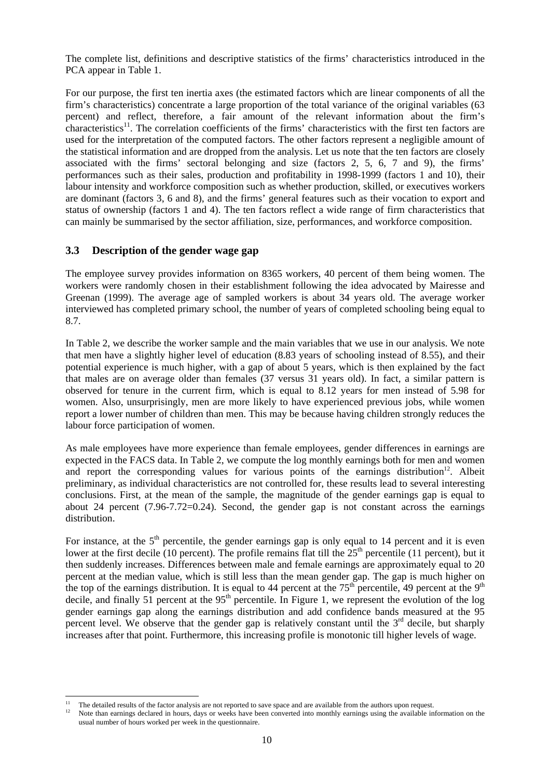The complete list, definitions and descriptive statistics of the firms' characteristics introduced in the PCA appear in Table 1.

For our purpose, the first ten inertia axes (the estimated factors which are linear components of all the firm's characteristics) concentrate a large proportion of the total variance of the original variables (63 percent) and reflect, therefore, a fair amount of the relevant information about the firm's characteristics<sup>11</sup>. The correlation coefficients of the firms' characteristics with the first ten factors are used for the interpretation of the computed factors. The other factors represent a negligible amount of the statistical information and are dropped from the analysis. Let us note that the ten factors are closely associated with the firms' sectoral belonging and size (factors 2, 5, 6, 7 and 9), the firms' performances such as their sales, production and profitability in 1998-1999 (factors 1 and 10), their labour intensity and workforce composition such as whether production, skilled, or executives workers are dominant (factors 3, 6 and 8), and the firms' general features such as their vocation to export and status of ownership (factors 1 and 4). The ten factors reflect a wide range of firm characteristics that can mainly be summarised by the sector affiliation, size, performances, and workforce composition.

#### **3.3 Description of the gender wage gap**

The employee survey provides information on 8365 workers, 40 percent of them being women. The workers were randomly chosen in their establishment following the idea advocated by Mairesse and Greenan (1999). The average age of sampled workers is about 34 years old. The average worker interviewed has completed primary school, the number of years of completed schooling being equal to 8.7.

In Table 2, we describe the worker sample and the main variables that we use in our analysis. We note that men have a slightly higher level of education (8.83 years of schooling instead of 8.55), and their potential experience is much higher, with a gap of about 5 years, which is then explained by the fact that males are on average older than females (37 versus 31 years old). In fact, a similar pattern is observed for tenure in the current firm, which is equal to 8.12 years for men instead of 5.98 for women. Also, unsurprisingly, men are more likely to have experienced previous jobs, while women report a lower number of children than men. This may be because having children strongly reduces the labour force participation of women.

As male employees have more experience than female employees, gender differences in earnings are expected in the FACS data. In Table 2, we compute the log monthly earnings both for men and women and report the corresponding values for various points of the earnings distribution<sup>12</sup>. Albeit preliminary, as individual characteristics are not controlled for, these results lead to several interesting conclusions. First, at the mean of the sample, the magnitude of the gender earnings gap is equal to about 24 percent  $(7.96-7.72=0.24)$ . Second, the gender gap is not constant across the earnings distribution.

For instance, at the  $5<sup>th</sup>$  percentile, the gender earnings gap is only equal to 14 percent and it is even lower at the first decile (10 percent). The profile remains flat till the  $25<sup>th</sup>$  percentile (11 percent), but it then suddenly increases. Differences between male and female earnings are approximately equal to 20 percent at the median value, which is still less than the mean gender gap. The gap is much higher on the top of the earnings distribution. It is equal to 44 percent at the  $75<sup>th</sup>$  percentile, 49 percent at the  $9<sup>th</sup>$ decile, and finally 51 percent at the  $95<sup>th</sup>$  percentile. In Figure 1, we represent the evolution of the log gender earnings gap along the earnings distribution and add confidence bands measured at the 95 percent level. We observe that the gender gap is relatively constant until the  $3<sup>rd</sup>$  decile, but sharply increases after that point. Furthermore, this increasing profile is monotonic till higher levels of wage.

l

The detailed results of the factor analysis are not reported to save space and are available from the authors upon request.<br>Note than earnings declared in hours, days or weeks have been converted into monthly earnings usin

usual number of hours worked per week in the questionnaire.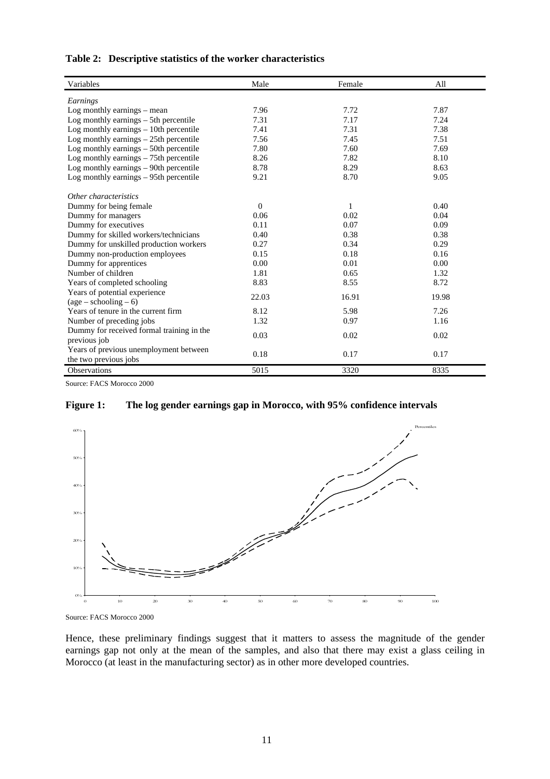| Variables                                 | Male     | Female | All   |
|-------------------------------------------|----------|--------|-------|
| Earnings                                  |          |        |       |
| Log monthly earnings $-$ mean             | 7.96     | 7.72   | 7.87  |
| Log monthly earnings $-5$ th percentile   | 7.31     | 7.17   | 7.24  |
| Log monthly earnings $-10$ th percentile  | 7.41     | 7.31   | 7.38  |
| Log monthly earnings - 25th percentile    | 7.56     | 7.45   | 7.51  |
| Log monthly earnings $-50$ th percentile  | 7.80     | 7.60   | 7.69  |
| Log monthly earnings $-75$ th percentile  | 8.26     | 7.82   | 8.10  |
| Log monthly earnings $-$ 90th percentile  | 8.78     | 8.29   | 8.63  |
| Log monthly earnings $-95$ th percentile  | 9.21     | 8.70   | 9.05  |
| Other characteristics                     |          |        |       |
| Dummy for being female.                   | $\Omega$ | 1      | 0.40  |
| Dummy for managers                        | 0.06     | 0.02   | 0.04  |
| Dummy for executives                      | 0.11     | 0.07   | 0.09  |
| Dummy for skilled workers/technicians     | 0.40     | 0.38   | 0.38  |
| Dummy for unskilled production workers    | 0.27     | 0.34   | 0.29  |
| Dummy non-production employees            | 0.15     | 0.18   | 0.16  |
| Dummy for apprentices                     | 0.00     | 0.01   | 0.00  |
| Number of children                        | 1.81     | 0.65   | 1.32  |
| Years of completed schooling              | 8.83     | 8.55   | 8.72  |
| Years of potential experience             |          |        |       |
| $(age - schooling - 6)$                   | 22.03    | 16.91  | 19.98 |
| Years of tenure in the current firm       | 8.12     | 5.98   | 7.26  |
| Number of preceding jobs                  | 1.32     | 0.97   | 1.16  |
| Dummy for received formal training in the |          |        |       |
| previous job                              | 0.03     | 0.02   | 0.02  |
| Years of previous unemployment between    |          |        |       |
| the two previous jobs                     | 0.18     | 0.17   | 0.17  |
| <b>Observations</b>                       | 5015     | 3320   | 8335  |

Source: FACS Morocco 2000

#### **Figure 1: The log gender earnings gap in Morocco, with 95% confidence intervals**



Source: FACS Morocco 2000

Hence, these preliminary findings suggest that it matters to assess the magnitude of the gender earnings gap not only at the mean of the samples, and also that there may exist a glass ceiling in Morocco (at least in the manufacturing sector) as in other more developed countries.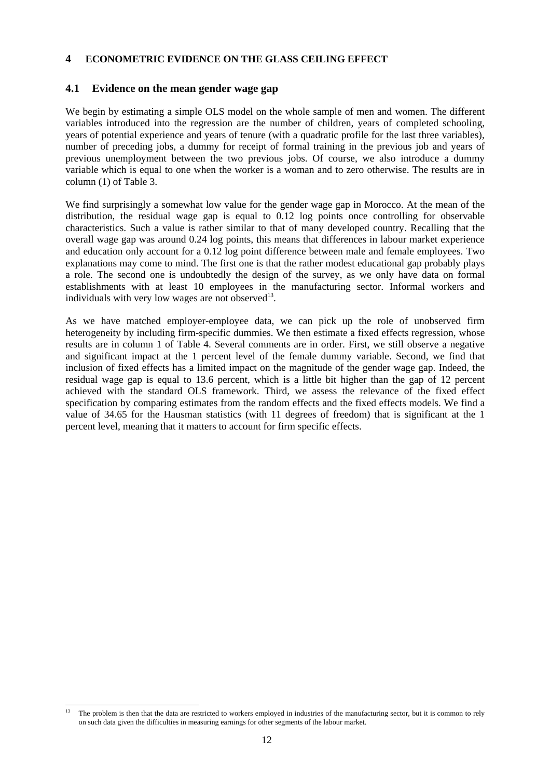#### **4 ECONOMETRIC EVIDENCE ON THE GLASS CEILING EFFECT**

#### **4.1 Evidence on the mean gender wage gap**

We begin by estimating a simple OLS model on the whole sample of men and women. The different variables introduced into the regression are the number of children, years of completed schooling, years of potential experience and years of tenure (with a quadratic profile for the last three variables), number of preceding jobs, a dummy for receipt of formal training in the previous job and years of previous unemployment between the two previous jobs. Of course, we also introduce a dummy variable which is equal to one when the worker is a woman and to zero otherwise. The results are in column (1) of Table 3.

We find surprisingly a somewhat low value for the gender wage gap in Morocco. At the mean of the distribution, the residual wage gap is equal to 0.12 log points once controlling for observable characteristics. Such a value is rather similar to that of many developed country. Recalling that the overall wage gap was around 0.24 log points, this means that differences in labour market experience and education only account for a 0.12 log point difference between male and female employees. Two explanations may come to mind. The first one is that the rather modest educational gap probably plays a role. The second one is undoubtedly the design of the survey, as we only have data on formal establishments with at least 10 employees in the manufacturing sector. Informal workers and individuals with very low wages are not observed $13$ .

As we have matched employer-employee data, we can pick up the role of unobserved firm heterogeneity by including firm-specific dummies. We then estimate a fixed effects regression, whose results are in column 1 of Table 4. Several comments are in order. First, we still observe a negative and significant impact at the 1 percent level of the female dummy variable. Second, we find that inclusion of fixed effects has a limited impact on the magnitude of the gender wage gap. Indeed, the residual wage gap is equal to 13.6 percent, which is a little bit higher than the gap of 12 percent achieved with the standard OLS framework. Third, we assess the relevance of the fixed effect specification by comparing estimates from the random effects and the fixed effects models. We find a value of 34.65 for the Hausman statistics (with 11 degrees of freedom) that is significant at the 1 percent level, meaning that it matters to account for firm specific effects.

l 13 The problem is then that the data are restricted to workers employed in industries of the manufacturing sector, but it is common to rely on such data given the difficulties in measuring earnings for other segments of the labour market.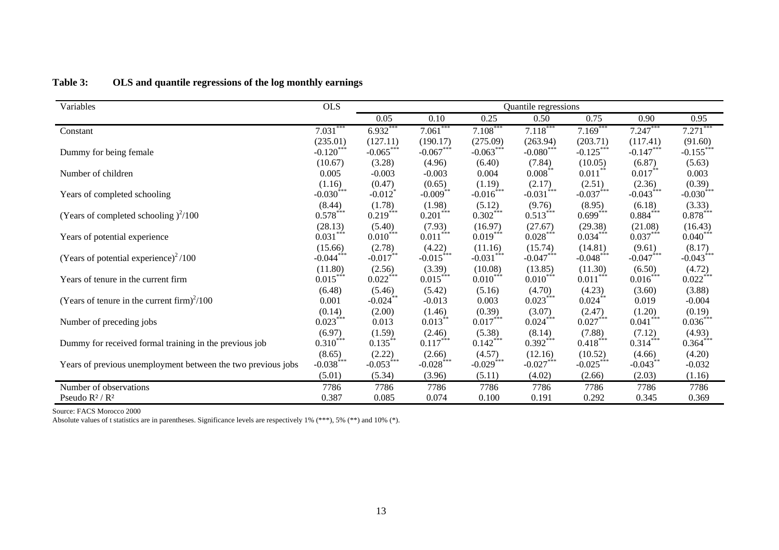| Variables                                                    | <b>OLS</b>              | Quantile regressions  |                        |                         |                        |                         |                        |                         |
|--------------------------------------------------------------|-------------------------|-----------------------|------------------------|-------------------------|------------------------|-------------------------|------------------------|-------------------------|
|                                                              |                         | 0.05                  | 0.10                   | 0.25                    | 0.50                   | 0.75                    | 0.90                   | 0.95                    |
| Constant                                                     | $7.031***$              | 6.932***              | $7.061***$             | $7.108***$              | $7.118***$             | $7.169***$              | $7.247***$             | 7.271                   |
|                                                              | (235.01)                | (127.11)              | (190.17)               | (275.09)                | (263.94)               | (203.71)                | (117.41)               | (91.60)                 |
| Dummy for being female                                       | $-0.120***$             | $-0.065***$           | $-0.067***$            | $-0.063***$             | $-0.080***$            | $-0.125***$             | $-0.147***$            | $-0.155$ ***            |
|                                                              | (10.67)                 | (3.28)                | (4.96)                 | (6.40)                  | (7.84)                 | (10.05)                 | (6.87)                 | (5.63)                  |
| Number of children                                           | 0.005                   | $-0.003$              | $-0.003$               | 0.004                   | $0.008***$             | $0.011***$              | $0.017***$             | 0.003                   |
|                                                              | (1.16)                  | (0.47)                | (0.65)                 | (1.19)                  | (2.17)                 | (2.51)                  | (2.36)                 | (0.39)                  |
| Years of completed schooling                                 | $-0.030$ <sup>***</sup> | $-0.012$ <sup>*</sup> | $-0.009$ **            | $-0.016***$             | $-0.031$ ***           | $-0.037***$             | $-0.043$ ***           | $-0.030$ <sup>***</sup> |
|                                                              | (8.44)                  | (1.78)                | (1.98)                 | (5.12)                  | (9.76)                 | (8.95)                  | (6.18)                 | (3.33)                  |
| (Years of completed schooling $)^{2}/100$                    | $0.578***$              | $0.219***$            | $0.201$ <sup>***</sup> | $0.302$ ***             | $0.513***$             | $0.699***$              | $0.884***$             | $0.878***$              |
|                                                              | (28.13)                 | (5.40)                | (7.93)                 | (16.97)                 | (27.67)                | (29.38)                 | (21.08)                | (16.43)                 |
| Years of potential experience                                | $0.031***$              | $0.010***$            | $0.011***$             | $0.019***$              | $0.028***$             | $0.034***$              | $0.037***$             | $0.040***$              |
|                                                              | (15.66)                 | (2.78)                | (4.22)                 | (11.16)                 | (15.74)                | (14.81)                 | (9.61)                 | (8.17)                  |
| (Years of potential experience) <sup>2</sup> /100            | $-0.044***$             | $-0.017$ **           | $-0.015$ ***           | $-0.031$ ***            | $-0.047***$            | $-0.048$ <sup>***</sup> | $-0.047$ ***           | $-0.043$ <sup>***</sup> |
|                                                              | (11.80)                 | (2.56)                | (3.39)                 | (10.08)                 | (13.85)                | (11.30)                 | (6.50)                 | (4.72)                  |
| Years of tenure in the current firm                          | $0.015***$              | $0.022***$            | $0.015***$             | $0.010***$              | $0.010***$             | $0.011***$              | $0.016***$             | $0.022***$              |
|                                                              | (6.48)                  | (5.46)                | (5.42)                 | (5.16)                  | (4.70)                 | (4.23)                  | (3.60)                 | (3.88)                  |
| (Years of tenure in the current firm) <sup>2</sup> /100      | 0.001                   | $-0.024$ **           | $-0.013$               | 0.003                   | $0.023***$             | $0.024***$              | 0.019                  | $-0.004$                |
|                                                              | (0.14)                  | (2.00)                | (1.46)                 | (0.39)                  | (3.07)                 | (2.47)                  | (1.20)                 | (0.19)                  |
| Number of preceding jobs                                     | $0.023***$              | 0.013                 | $0.013***$             | $0.017***$              | $0.024$ <sup>***</sup> | $0.027***$              | $0.041$ <sup>***</sup> | $0.036***$              |
|                                                              | (6.97)                  | (1.59)                | (2.46)                 | (5.38)                  | (8.14)                 | (7.88)                  | (7.12)                 | (4.93)                  |
| Dummy for received formal training in the previous job       | $0.310^{***}$           | $0.135***$            | $0.117***$             | $0.142***$              | $0.392***$             | $0.418***$              | $0.314***$             | $0.364***$              |
|                                                              | (8.65)                  | (2.22)                | (2.66)                 | (4.57)                  | (12.16)                | (10.52)                 | (4.66)                 | (4.20)                  |
| Years of previous unemployment between the two previous jobs | $-0.038$ ***            | $-0.053$ ***          | $-0.028$ ***           | $-0.029$ <sup>***</sup> | $-0.027***$            | $-0.025$ ***            | $-0.043***$            | $-0.032$                |
|                                                              | (5.01)                  | (5.34)                | (3.96)                 | (5.11)                  | (4.02)                 | (2.66)                  | (2.03)                 | (1.16)                  |
| Number of observations                                       | 7786                    | 7786                  | 7786                   | 7786                    | 7786                   | 7786                    | 7786                   | 7786                    |
| Pseudo $R^2/R^2$                                             | 0.387                   | 0.085                 | 0.074                  | 0.100                   | 0.191                  | 0.292                   | 0.345                  | 0.369                   |

#### **Table 3: OLS and quantile regressions of the log monthly earnings**

Source: FACS Morocco 2000

Absolute values of t statistics are in parentheses. Significance levels are respectively 1% (\*\*\*), 5% (\*\*) and 10% (\*).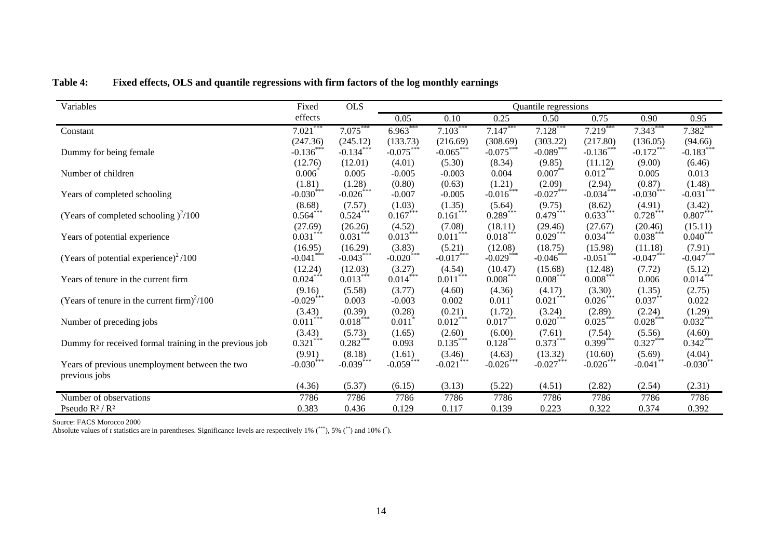| Variables                                                       | Fixed                   | <b>OLS</b>   | Quantile regressions |                        |                      |                        |              |                          |                         |
|-----------------------------------------------------------------|-------------------------|--------------|----------------------|------------------------|----------------------|------------------------|--------------|--------------------------|-------------------------|
|                                                                 | effects                 |              | 0.05                 | 0.10                   | 0.25                 | 0.50                   | 0.75         | 0.90                     | 0.95                    |
| Constant                                                        | $7.021***$              | $7.075***$   | $6.963***$           | $7.103***$             | $7.147***$           | $7.128***$             | $7.219***$   | $7.343***$               | $7.382***$              |
|                                                                 | (247.36)                | (245.12)     | (133.73)             | (216.69)               | (308.69)             | (303.22)               | (217.80)     | (136.05)                 | (94.66)                 |
| Dummy for being female                                          | $-0.136***$             | $-0.134***$  | $-0.075***$          | $-0.065***$            | $-0.075***$          | $-0.089***$            | $-0.136$ *** | $-0.172***$              | $-0.183$ <sup>***</sup> |
|                                                                 | (12.76)                 | (12.01)      | (4.01)               | (5.30)                 | (8.34)               | (9.85)                 | (11.12)      | (9.00)                   | (6.46)                  |
| Number of children                                              | 0.006                   | 0.005        | $-0.005$             | $-0.003$               | 0.004                | $0.007***$             | $0.012***$   | 0.005                    | 0.013                   |
|                                                                 | (1.81)                  | (1.28)       | (0.80)               | (0.63)                 | (1.21)               | (2.09)                 | (2.94)       | (0.87)                   | (1.48)                  |
| Years of completed schooling                                    | $-0.030$ <sup>***</sup> | $-0.026$ *** | $-0.007$             | $-0.005$               | $-0.016$ ***         | $-0.027$ ***           | $-0.034$ *** | $-0.030$ <sup>****</sup> | $-0.031$ <sup>***</sup> |
|                                                                 | (8.68)                  | (7.57)       | (1.03)               | (1.35)                 | (5.64)               | (9.75)                 | (8.62)       | (4.91)                   | (3.42)                  |
| (Years of completed schooling $)^2/100$                         | $0.564***$              | $0.524***$   | $0.167***$           | $0.161$ <sup>***</sup> | $0.289***$           | $0.479***$             | $0.633***$   | $0.728***$               | $0.807***$              |
|                                                                 | (27.69)                 | (26.26)      | (4.52)               | (7.08)                 | (18.11)              | (29.46)                | (27.67)      | (20.46)                  | (15.11)                 |
| Years of potential experience                                   | $0.031***$              | $0.031***$   | $0.013***$           | $0.011***$             | $0.018***$           | $0.029***$             | $0.034***$   | $0.038***$               | $0.040***$              |
|                                                                 | (16.95)                 | (16.29)      | (3.83)               | (5.21)                 | (12.08)              | (18.75)                | (15.98)      | (11.18)                  | (7.91)                  |
| (Years of potential experience) $2/100$                         | $-0.041$ ***            | $-0.043***$  | $-0.020$ ***         | $-0.017$ ***           | $-0.029***$          | $-0.046$ ***           | $-0.051***$  | $-0.047***$              | $-0.047$ ***            |
|                                                                 | (12.24)                 | (12.03)      | (3.27)               | (4.54)                 | (10.47)              | (15.68)                | (12.48)      | (7.72)                   | (5.12)                  |
| Years of tenure in the current firm                             | $0.024***$              | $0.013***$   | $0.014***$           | 0.011                  | $0.008***$           | $0.008***$             | $0.008***$   | 0.006                    | $0.014***$              |
|                                                                 | (9.16)                  | (5.58)       | (3.77)               | (4.60)                 | (4.36)               | (4.17)                 | (3.30)       | (1.35)                   | (2.75)                  |
| (Years of tenure in the current firm) <sup>2</sup> /100         | $-0.029$ ***            | 0.003        | $-0.003$             | 0.002                  | $0.011$ <sup>*</sup> | $0.021$ ***            | $0.026***$   | $0.037***$               | 0.022                   |
|                                                                 | (3.43)<br>***           | (0.39)       | (0.28)               | (0.21)                 | (1.72)               | (3.24)                 | (2.89)       | (2.24)                   | (1.29)                  |
| Number of preceding jobs                                        | 0.011                   | $0.018***$   | 0.011                | $0.012***$             | $0.017***$           | $0.020$ <sup>***</sup> | $0.025***$   | $0.028***$               | $0.032***$              |
|                                                                 | (3.43)                  | (5.73)       | (1.65)               | (2.60)                 | (6.00)               | (7.61)                 | (7.54)       | (5.56)                   | (4.60)                  |
| Dummy for received formal training in the previous job          | 0.321                   | $0.282***$   | 0.093                | $0.135***$             | $0.128***$           | $0.373***$             | $0.399***$   | $0.327***$               | $0.342***$              |
|                                                                 | (9.91)                  | (8.18)       | (1.61)               | (3.46)                 | (4.63)               | (13.32)                | (10.60)      | (5.69)                   | (4.04)                  |
| Years of previous unemployment between the two<br>previous jobs | $-0.030^*$              | $-0.039***$  | $-0.059$ ***         | $-0.021$ <sup>*</sup>  | $-0.026***$          | $-0.027***$            | $-0.026$ *** | $-0.041$ **              | $-0.030**$              |
|                                                                 | (4.36)                  | (5.37)       | (6.15)               | (3.13)                 | (5.22)               | (4.51)                 | (2.82)       | (2.54)                   | (2.31)                  |
| Number of observations                                          | 7786                    | 7786         | 7786                 | 7786                   | 7786                 | 7786                   | 7786         | 7786                     | 7786                    |
| Pseudo $R^2/R^2$                                                | 0.383                   | 0.436        | 0.129                | 0.117                  | 0.139                | 0.223                  | 0.322        | 0.374                    | 0.392                   |

**Table 4: Fixed effects, OLS and quantile regressions with firm factors of the log monthly earnings** 

Source: FACS Morocco 2000

Absolute values of *t* statistics are in parentheses. Significance levels are respectively 1% (\*\*\*), 5% (\*\*) and 10% (\*).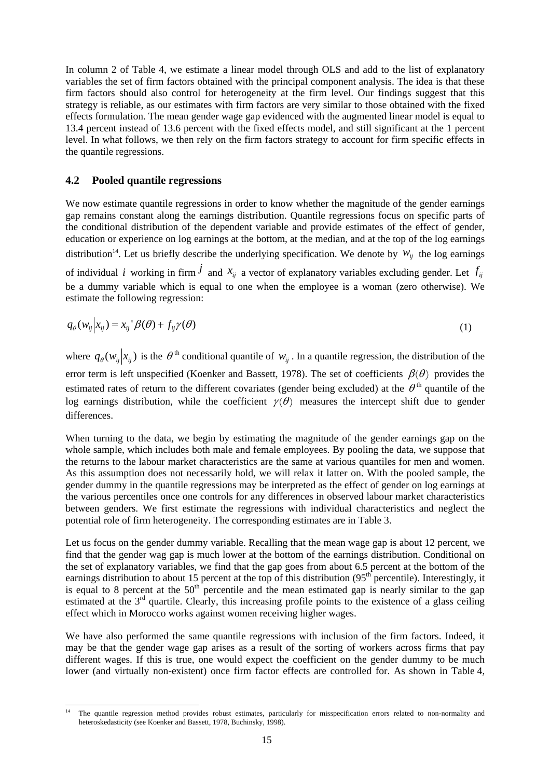In column 2 of Table 4, we estimate a linear model through OLS and add to the list of explanatory variables the set of firm factors obtained with the principal component analysis. The idea is that these firm factors should also control for heterogeneity at the firm level. Our findings suggest that this strategy is reliable, as our estimates with firm factors are very similar to those obtained with the fixed effects formulation. The mean gender wage gap evidenced with the augmented linear model is equal to 13.4 percent instead of 13.6 percent with the fixed effects model, and still significant at the 1 percent level. In what follows, we then rely on the firm factors strategy to account for firm specific effects in the quantile regressions.

#### **4.2 Pooled quantile regressions**

We now estimate quantile regressions in order to know whether the magnitude of the gender earnings gap remains constant along the earnings distribution. Quantile regressions focus on specific parts of the conditional distribution of the dependent variable and provide estimates of the effect of gender, education or experience on log earnings at the bottom, at the median, and at the top of the log earnings distribution<sup>14</sup>. Let us briefly describe the underlying specification. We denote by  $W_{ii}$  the log earnings of individual *i* working in firm  $j$  and  $x_{ij}$  a vector of explanatory variables excluding gender. Let  $f_{ij}$ be a dummy variable which is equal to one when the employee is a woman (zero otherwise). We estimate the following regression:

$$
q_{\theta}(w_{ij}|x_{ij}) = x_{ij}^{\dagger} \beta(\theta) + f_{ij} \gamma(\theta)
$$
\n(1)

where  $q_{\theta}(w_{ij}|x_{ij})$  is the  $\theta^{th}$  conditional quantile of  $w_{ii}$ . In a quantile regression, the distribution of the error term is left unspecified (Koenker and Bassett, 1978). The set of coefficients  $\beta(\theta)$  provides the estimated rates of return to the different covariates (gender being excluded) at the  $\theta^{\text{th}}$  quantile of the log earnings distribution, while the coefficient  $\gamma(\theta)$  measures the intercept shift due to gender differences.

When turning to the data, we begin by estimating the magnitude of the gender earnings gap on the whole sample, which includes both male and female employees. By pooling the data, we suppose that the returns to the labour market characteristics are the same at various quantiles for men and women. As this assumption does not necessarily hold, we will relax it latter on. With the pooled sample, the gender dummy in the quantile regressions may be interpreted as the effect of gender on log earnings at the various percentiles once one controls for any differences in observed labour market characteristics between genders. We first estimate the regressions with individual characteristics and neglect the potential role of firm heterogeneity. The corresponding estimates are in Table 3.

Let us focus on the gender dummy variable. Recalling that the mean wage gap is about 12 percent, we find that the gender wag gap is much lower at the bottom of the earnings distribution. Conditional on the set of explanatory variables, we find that the gap goes from about 6.5 percent at the bottom of the earnings distribution to about 15 percent at the top of this distribution (95<sup>th</sup> percentile). Interestingly, it is equal to 8 percent at the  $50<sup>th</sup>$  percentile and the mean estimated gap is nearly similar to the gap estimated at the 3<sup>rd</sup> quartile. Clearly, this increasing profile points to the existence of a glass ceiling effect which in Morocco works against women receiving higher wages.

We have also performed the same quantile regressions with inclusion of the firm factors. Indeed, it may be that the gender wage gap arises as a result of the sorting of workers across firms that pay different wages. If this is true, one would expect the coefficient on the gender dummy to be much lower (and virtually non-existent) once firm factor effects are controlled for. As shown in Table 4,

l The quantile regression method provides robust estimates, particularly for misspecification errors related to non-normality and heteroskedasticity (see Koenker and Bassett, 1978, Buchinsky, 1998).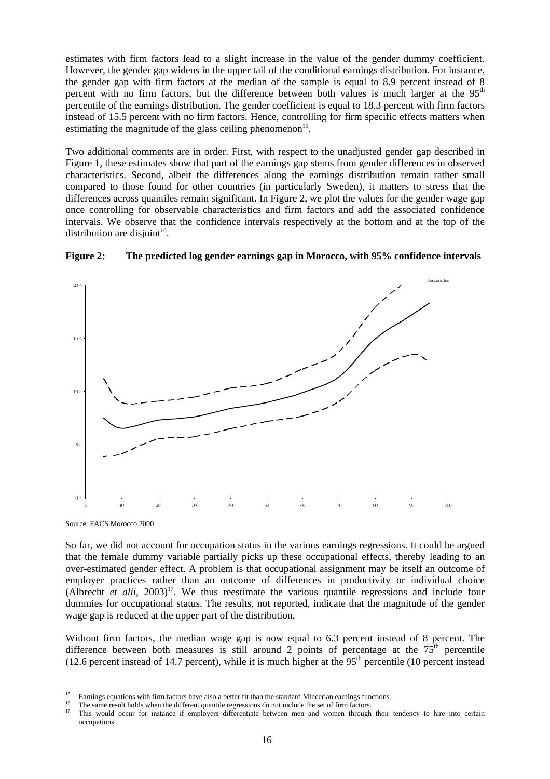estimates with firm factors lead to a slight increase in the value of the gender dummy coefficient. However, the gender gap widens in the upper tail of the conditional earnings distribution. For instance, the gender gap with firm factors at the median of the sample is equal to 8.9 percent instead of 8 percent with no firm factors, but the difference between both values is much larger at the 95<sup>th</sup> percentile of the earnings distribution. The gender coefficient is equal to 18.3 percent with firm factors instead of 15.5 percent with no firm factors. Hence, controlling for firm specific effects matters when estimating the magnitude of the glass ceiling phenomenon<sup>15</sup>.

Two additional comments are in order. First, with respect to the unadjusted gender gap described in Figure 1, these estimates show that part of the earnings gap stems from gender differences in observed characteristics. Second, albeit the differences along the earnings distribution remain rather small compared to those found for other countries (in particularly Sweden), it matters to stress that the differences across quantiles remain significant. In Figure 2, we plot the values for the gender wage gap once controlling for observable characteristics and firm factors and add the associated confidence intervals. We observe that the confidence intervals respectively at the bottom and at the top of the distribution are disjoint<sup>16</sup>.



#### **Figure 2: The predicted log gender earnings gap in Morocco, with 95% confidence intervals**

Source: FACS Morocco 2000

So far, we did not account for occupation status in the various earnings regressions. It could be argued that the female dummy variable partially picks up these occupational effects, thereby leading to an over-estimated gender effect. A problem is that occupational assignment may be itself an outcome of employer practices rather than an outcome of differences in productivity or individual choice (Albrecht *et alii*, 2003)<sup>17</sup>. We thus reestimate the various quantile regressions and include four dummies for occupational status. The results, not reported, indicate that the magnitude of the gender wage gap is reduced at the upper part of the distribution.

Without firm factors, the median wage gap is now equal to 6.3 percent instead of 8 percent. The difference between both measures is still around 2 points of percentage at the  $75<sup>th</sup>$  percentile (12.6 percent instead of 14.7 percent), while it is much higher at the  $95<sup>th</sup>$  percentile (10 percent instead

 $15$ 

Earnings equations with firm factors have also a better fit than the standard Mincerian earnings functions.<br>The same result holds when the different quantile regressions do not include the set of firm factors.<br>This would o occupations.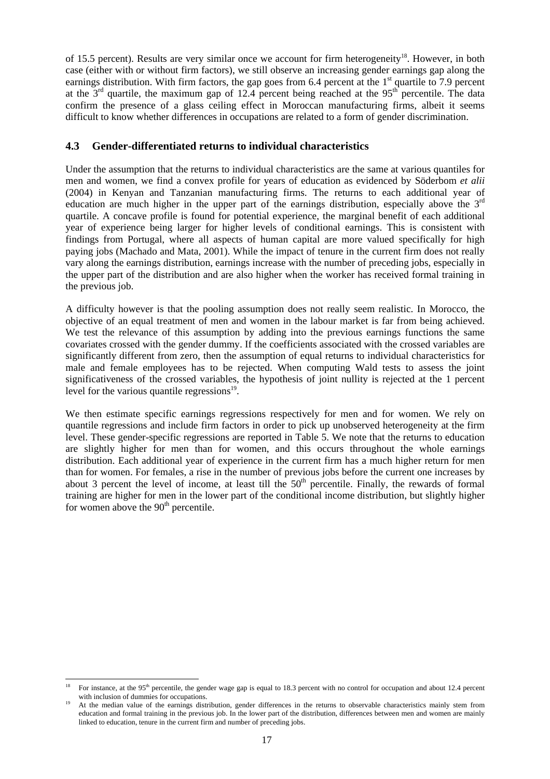of 15.5 percent). Results are very similar once we account for firm heterogeneity<sup>18</sup>. However, in both case (either with or without firm factors), we still observe an increasing gender earnings gap along the earnings distribution. With firm factors, the gap goes from 6.4 percent at the 1<sup>st</sup> quartile to 7.9 percent at the  $3<sup>rd</sup>$  quartile, the maximum gap of 12.4 percent being reached at the  $95<sup>th</sup>$  percentile. The data confirm the presence of a glass ceiling effect in Moroccan manufacturing firms, albeit it seems difficult to know whether differences in occupations are related to a form of gender discrimination.

#### **4.3 Gender-differentiated returns to individual characteristics**

Under the assumption that the returns to individual characteristics are the same at various quantiles for men and women, we find a convex profile for years of education as evidenced by Söderbom *et alii* (2004) in Kenyan and Tanzanian manufacturing firms. The returns to each additional year of education are much higher in the upper part of the earnings distribution, especially above the  $3<sup>rd</sup>$ quartile. A concave profile is found for potential experience, the marginal benefit of each additional year of experience being larger for higher levels of conditional earnings. This is consistent with findings from Portugal, where all aspects of human capital are more valued specifically for high paying jobs (Machado and Mata, 2001). While the impact of tenure in the current firm does not really vary along the earnings distribution, earnings increase with the number of preceding jobs, especially in the upper part of the distribution and are also higher when the worker has received formal training in the previous job.

A difficulty however is that the pooling assumption does not really seem realistic. In Morocco, the objective of an equal treatment of men and women in the labour market is far from being achieved. We test the relevance of this assumption by adding into the previous earnings functions the same covariates crossed with the gender dummy. If the coefficients associated with the crossed variables are significantly different from zero, then the assumption of equal returns to individual characteristics for male and female employees has to be rejected. When computing Wald tests to assess the joint significativeness of the crossed variables, the hypothesis of joint nullity is rejected at the 1 percent level for the various quantile regressions $19$ .

We then estimate specific earnings regressions respectively for men and for women. We rely on quantile regressions and include firm factors in order to pick up unobserved heterogeneity at the firm level. These gender-specific regressions are reported in Table 5. We note that the returns to education are slightly higher for men than for women, and this occurs throughout the whole earnings distribution. Each additional year of experience in the current firm has a much higher return for men than for women. For females, a rise in the number of previous jobs before the current one increases by about 3 percent the level of income, at least till the  $50<sup>th</sup>$  percentile. Finally, the rewards of formal training are higher for men in the lower part of the conditional income distribution, but slightly higher for women above the  $90<sup>th</sup>$  percentile.

 $18$ For instance, at the 95<sup>th</sup> percentile, the gender wage gap is equal to 18.3 percent with no control for occupation and about 12.4 percent with inclusion of dummies for occupations.<br><sup>19</sup> At the median value of the earnings distribution, gender differences in the returns to observable characteristics mainly stem from

education and formal training in the previous job. In the lower part of the distribution, differences between men and women are mainly linked to education, tenure in the current firm and number of preceding jobs.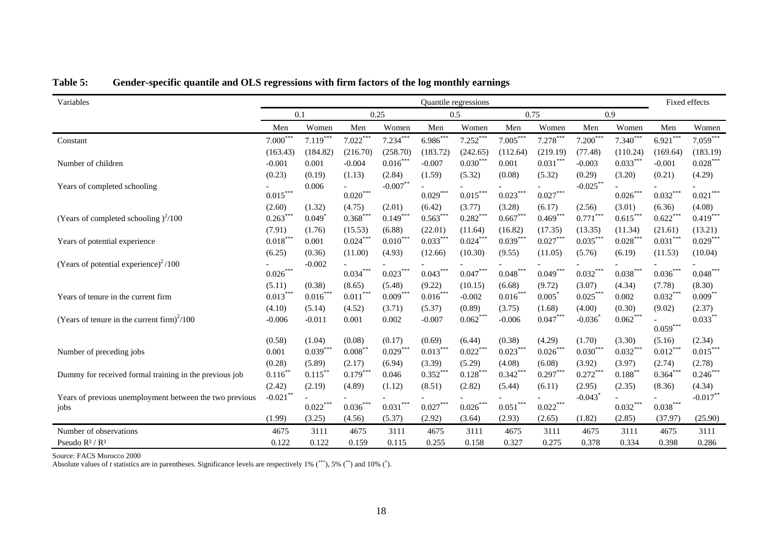| Variables                                               | Quantile regressions |                      |                                  |                      |                      |                             |                        | Fixed effects        |                        |                      |                        |                      |
|---------------------------------------------------------|----------------------|----------------------|----------------------------------|----------------------|----------------------|-----------------------------|------------------------|----------------------|------------------------|----------------------|------------------------|----------------------|
|                                                         | 0.1                  |                      |                                  | 0.25                 |                      | 0.5                         |                        | 0.75                 |                        | 0.9                  |                        |                      |
|                                                         | Men                  | Women                | Men                              | Women                | Men                  | Women                       | Men                    | Women                | Men                    | Women                | Men                    | Women                |
| Constant                                                | $7.000***$           | $7.119***$           | $7.022***$                       | $7.234***$           | $6.986***$           | $7.252***$                  | $7.005***$             | $7.278***$           | $7.200***$             | $7.340***$           | $6.921***$             | $7.059***$           |
|                                                         | (163.43)             | (184.82)             | (216.70)                         | (258.70)             | (183.72)             | (242.65)                    | (112.64)               | (219.19)             | (77.48)                | (110.24)             | (169.64)               | (183.19)             |
| Number of children                                      | $-0.001$             | 0.001                | $-0.004$                         | $0.016***$           | $-0.007$             | $0.030***$                  | 0.001                  | $0.031***$           | $-0.003$               | $0.033***$           | $-0.001$               | $0.028***$           |
|                                                         | (0.23)               | (0.19)               | (1.13)                           | (2.84)               | (1.59)               | (5.32)                      | (0.08)                 | (5.32)               | (0.29)                 | (3.20)               | (0.21)                 | (4.29)               |
| Years of completed schooling                            |                      | 0.006                |                                  | $-0.007***$          |                      |                             |                        |                      | $-0.025***$            |                      |                        |                      |
|                                                         | $0.015***$           |                      | $0.020***$                       |                      | $0.029***$           | $0.015***$                  | $0.023***$             | $0.027***$           |                        | $0.026***$           | $0.032***$             | $0.021***$           |
|                                                         | (2.60)               | (1.32)               | (4.75)                           | (2.01)               | (6.42)               | (3.77)                      | (3.28)                 | (6.17)               | (2.56)                 | (3.01)               | (6.36)                 | (4.08)               |
| (Years of completed schooling) <sup>2</sup> /100        | $0.263***$           | 0.049                | $0.368^{\ast\ast\ast}$           | $0.149***$           | $0.563***$           | $0.282\sp{*}{^\ast\sp{*}}$  | $0.667^{\ast\ast\ast}$ | $0.469***$           | $0.771***$             | $0.615***$           | $0.622***$             | $0.419***$           |
|                                                         | (7.91)               | (1.76)               | (15.53)                          | (6.88)               | (22.01)              | (11.64)                     | (16.82)                | (17.35)              | (13.35)                | (11.34)              | (21.61)                | (13.21)              |
| Years of potential experience                           | $0.018***$           | 0.001                | $0.024***$                       | $0.010***$           | $0.033***$           | $0.024***$                  | $0.039***$             | $0.027***$           | $0.035^{\ast\ast\ast}$ | $0.028***$           | $0.031^{\ast\ast\ast}$ | $0.029***$           |
|                                                         | (6.25)               | (0.36)               | (11.00)                          | (4.93)               | (12.66)              | (10.30)                     | (9.55)                 | (11.05)              | (5.76)                 | (6.19)               | (11.53)                | (10.04)              |
| (Years of potential experience) <sup>2</sup> /100       | $0.026***$           | $-0.002$             | $0.034***$                       | $0.023***$           | $0.043***$           | $0.047***$                  | $0.048***$             | $0.049***$           | $0.032***$             | $0.038***$           | $0.036***$             | $0.048***$           |
|                                                         |                      |                      |                                  |                      |                      |                             |                        |                      |                        |                      |                        |                      |
|                                                         | (5.11)<br>$0.013***$ | (0.38)<br>$0.016***$ | (8.65)<br>$0.011^{\ast\ast\ast}$ | (5.48)<br>$0.009***$ | (9.22)<br>$0.016***$ | (10.15)                     | (6.68)<br>$0.016***$   | (9.72)<br>0.005      | (3.07)<br>$0.025***$   | (4.34)<br>0.002      | (7.78)<br>$0.032***$   | (8.30)<br>$0.009***$ |
| Years of tenure in the current firm                     |                      |                      |                                  |                      |                      | $-0.002$                    |                        |                      |                        |                      |                        |                      |
|                                                         | (4.10)               | (5.14)               | (4.52)                           | (3.71)               | (5.37)               | (0.89)<br>$0.062***$        | (3.75)                 | (1.68)<br>$0.047***$ | (4.00)                 | (0.30)<br>$0.062***$ | (9.02)                 | (2.37)<br>$0.033***$ |
| (Years of tenure in the current firm) <sup>2</sup> /100 | $-0.006$             | $-0.011$             | 0.001                            | 0.002                | $-0.007$             |                             | $-0.006$               |                      | $-0.036$               |                      | $0.059^{***}$          |                      |
|                                                         | (0.58)               | (1.04)               | (0.08)                           | (0.17)               | (0.69)               | (6.44)                      | (0.38)                 | (4.29)               | (1.70)                 | (3.30)               | (5.16)                 | (2.34)               |
| Number of preceding jobs                                | 0.001                | $0.039***$           | $0.008**$                        | $0.029***$           | $0.013***$           | $0.022***$                  | $0.023***$             | $0.026***$           | $0.030***$             | $0.032***$           | $0.012***$             | $0.015***$           |
|                                                         | (0.28)               | (5.89)               | (2.17)                           | (6.94)               | (3.39)               | (5.29)                      | (4.08)                 | (6.08)               | (3.92)                 | (3.97)               | (2.74)                 | (2.78)               |
| Dummy for received formal training in the previous job  | $0.116$ *            | $0.115***$           | $0.179***$                       | 0.046                | $0.352***$           | $0.128***$                  | $0.342***$             | $0.297***$           | $0.272***$             | $0.188***$           | $0.364^{***}$          | $0.246***$           |
|                                                         | (2.42)               | (2.19)               | (4.89)                           | (1.12)               | (8.51)               | (2.82)                      | (5.44)                 | (6.11)               | (2.95)                 | (2.35)               | (8.36)                 | (4.34)               |
| Years of previous unemployment between the two previous | $-0.021$ **          |                      |                                  |                      |                      |                             |                        |                      | $-0.043$ <sup>*</sup>  |                      |                        | $-0.017***$          |
| jobs                                                    |                      | $0.022***$           | $0.036***$                       | $***$<br>0.031       | $0.027***$           | $0.026\sp{*}{^\ast\sp{*}}}$ | $0.051^{\ast\ast\ast}$ | $0.022***$           |                        | $0.032***$           | $0.038***$             |                      |
|                                                         | (1.99)               | (3.25)               | (4.56)                           | (5.37)               | (2.92)               | (3.64)                      | (2.93)                 | (2.65)               | (1.82)                 | (2.85)               | (37.97)                | (25.90)              |
| Number of observations                                  | 4675                 | 3111                 | 4675                             | 3111                 | 4675                 | 3111                        | 4675                   | 3111                 | 4675                   | 3111                 | 4675                   | 3111                 |
| Pseudo $R^2/R^2$                                        | 0.122                | 0.122                | 0.159                            | 0.115                | 0.255                | 0.158                       | 0.327                  | 0.275                | 0.378                  | 0.334                | 0.398                  | 0.286                |

| Table 5: |  |  |  |  |  | Gender-specific quantile and OLS regressions with firm factors of the log monthly earnings |
|----------|--|--|--|--|--|--------------------------------------------------------------------------------------------|
|----------|--|--|--|--|--|--------------------------------------------------------------------------------------------|

Source: FACS Morocco 2000 Absolute values of *t* statistics are in parentheses. Significance levels are respectively 1% (\*\*\*), 5% (\*\*) and 10% (\*).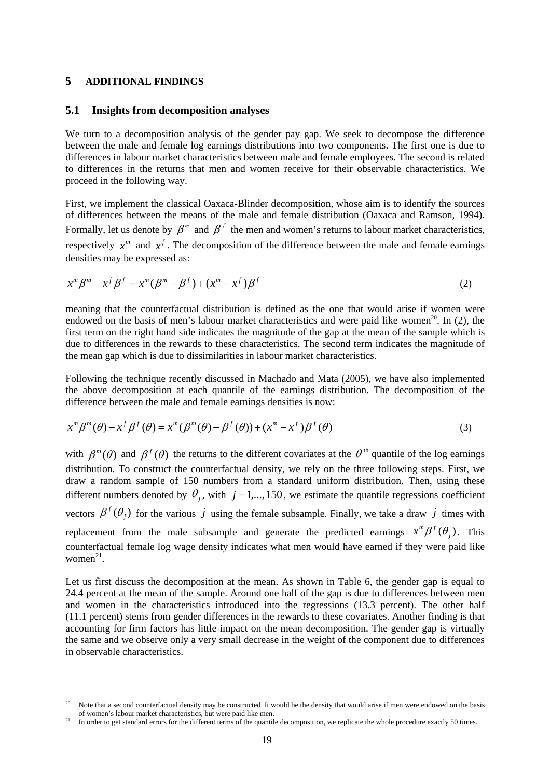#### **5 ADDITIONAL FINDINGS**

l

#### **5.1 Insights from decomposition analyses**

We turn to a decomposition analysis of the gender pay gap. We seek to decompose the difference between the male and female log earnings distributions into two components. The first one is due to differences in labour market characteristics between male and female employees. The second is related to differences in the returns that men and women receive for their observable characteristics. We proceed in the following way.

First, we implement the classical Oaxaca-Blinder decomposition, whose aim is to identify the sources of differences between the means of the male and female distribution (Oaxaca and Ramson, 1994). Formally, let us denote by  $\beta^m$  and  $\beta^f$  the men and women's returns to labour market characteristics, respectively  $x^m$  and  $x^f$ . The decomposition of the difference between the male and female earnings densities may be expressed as:

$$
x^m \beta^m - x^f \beta^f = x^m (\beta^m - \beta^f) + (x^m - x^f) \beta^f
$$
 (2)

meaning that the counterfactual distribution is defined as the one that would arise if women were endowed on the basis of men's labour market characteristics and were paid like women<sup>20</sup>. In (2), the first term on the right hand side indicates the magnitude of the gap at the mean of the sample which is due to differences in the rewards to these characteristics. The second term indicates the magnitude of the mean gap which is due to dissimilarities in labour market characteristics.

Following the technique recently discussed in Machado and Mata (2005), we have also implemented the above decomposition at each quantile of the earnings distribution. The decomposition of the difference between the male and female earnings densities is now:

$$
x^m \beta^m(\theta) - x^f \beta^f(\theta) = x^m (\beta^m(\theta) - \beta^f(\theta)) + (x^m - x^f) \beta^f(\theta)
$$
\n(3)

with  $\beta^{m}(\theta)$  and  $\beta^{f}(\theta)$  the returns to the different covariates at the  $\theta^{th}$  quantile of the log earnings distribution. To construct the counterfactual density, we rely on the three following steps. First, we draw a random sample of 150 numbers from a standard uniform distribution. Then, using these different numbers denoted by  $\theta_i$ , with  $j = 1, ..., 150$ , we estimate the quantile regressions coefficient vectors  $\beta^f(\theta_j)$  for the various *j* using the female subsample. Finally, we take a draw *j* times with replacement from the male subsample and generate the predicted earnings  $x^m\beta^f(\theta_j)$ . This counterfactual female log wage density indicates what men would have earned if they were paid like women $21$ .

Let us first discuss the decomposition at the mean. As shown in Table 6, the gender gap is equal to 24.4 percent at the mean of the sample. Around one half of the gap is due to differences between men and women in the characteristics introduced into the regressions (13.3 percent). The other half (11.1 percent) stems from gender differences in the rewards to these covariates. Another finding is that accounting for firm factors has little impact on the mean decomposition. The gender gap is virtually the same and we observe only a very small decrease in the weight of the component due to differences in observable characteristics.

Note that a second counterfactual density may be constructed. It would be the density that would arise if men were endowed on the basis of women's labour market characteristics, but were paid like men.

<sup>&</sup>lt;sup>21</sup> In order to get standard errors for the different terms of the quantile decomposition, we replicate the whole procedure exactly 50 times.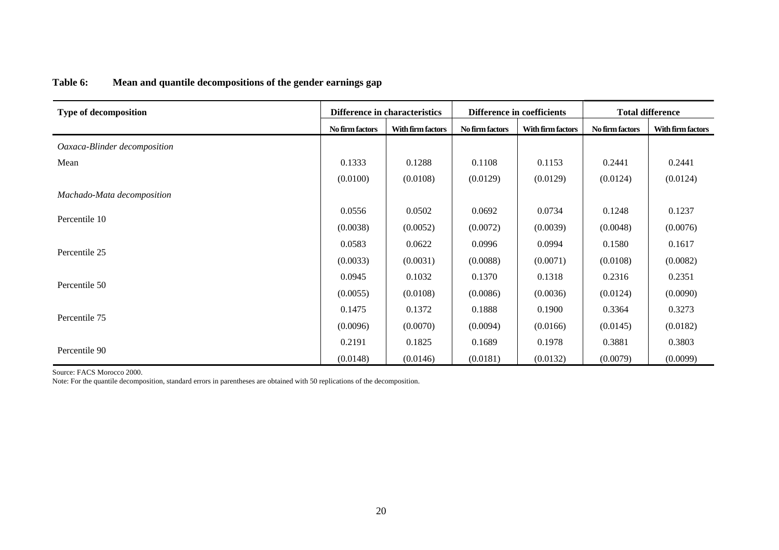| Table 6: | Mean and quantile decompositions of the gender earnings gap |  |  |
|----------|-------------------------------------------------------------|--|--|
|          |                                                             |  |  |

| <b>Type of decomposition</b> |                                                                                                                                                                                                                                                                                                                                                                                                                                         | <b>Difference in characteristics</b> |                 |                   | <b>Total difference</b> |                   |  |
|------------------------------|-----------------------------------------------------------------------------------------------------------------------------------------------------------------------------------------------------------------------------------------------------------------------------------------------------------------------------------------------------------------------------------------------------------------------------------------|--------------------------------------|-----------------|-------------------|-------------------------|-------------------|--|
|                              | No firm factors                                                                                                                                                                                                                                                                                                                                                                                                                         | With firm factors                    | No firm factors | With firm factors | No firm factors         | With firm factors |  |
| Oaxaca-Blinder decomposition |                                                                                                                                                                                                                                                                                                                                                                                                                                         |                                      |                 |                   |                         |                   |  |
| Mean                         | 0.1333                                                                                                                                                                                                                                                                                                                                                                                                                                  | 0.1288                               | 0.1108          | 0.1153            | 0.2441                  | 0.2441            |  |
|                              | (0.0100)                                                                                                                                                                                                                                                                                                                                                                                                                                | (0.0108)                             | (0.0129)        | (0.0129)          | (0.0124)                | (0.0124)          |  |
| Machado-Mata decomposition   |                                                                                                                                                                                                                                                                                                                                                                                                                                         |                                      |                 |                   |                         |                   |  |
|                              | 0.0556                                                                                                                                                                                                                                                                                                                                                                                                                                  | 0.0502                               | 0.0692          | 0.0734            | 0.1248                  | 0.1237            |  |
| Percentile 10                | (0.0038)                                                                                                                                                                                                                                                                                                                                                                                                                                | (0.0052)                             | (0.0072)        | (0.0039)          | (0.0048)                | (0.0076)          |  |
|                              | 0.0583                                                                                                                                                                                                                                                                                                                                                                                                                                  | 0.0622                               | 0.0996          | 0.0994            | 0.1580                  | 0.1617            |  |
| Percentile 25                | <b>Difference in coefficients</b><br>(0.0033)<br>(0.0031)<br>(0.0088)<br>(0.0071)<br>(0.0108)<br>0.0945<br>0.1032<br>0.1370<br>0.1318<br>0.2316<br>(0.0055)<br>(0.0108)<br>(0.0086)<br>(0.0036)<br>(0.0124)<br>0.1372<br>0.3364<br>0.1475<br>0.1888<br>0.1900<br>(0.0096)<br>(0.0070)<br>(0.0094)<br>(0.0166)<br>(0.0145)<br>0.2191<br>0.1825<br>0.1978<br>0.3881<br>0.1689<br>(0.0181)<br>(0.0079)<br>(0.0148)<br>(0.0146)<br>(0.0132) | (0.0082)                             |                 |                   |                         |                   |  |
|                              |                                                                                                                                                                                                                                                                                                                                                                                                                                         |                                      |                 |                   |                         | 0.2351            |  |
| Percentile 50                |                                                                                                                                                                                                                                                                                                                                                                                                                                         |                                      | (0.0090)        |                   |                         |                   |  |
|                              |                                                                                                                                                                                                                                                                                                                                                                                                                                         |                                      |                 |                   |                         | 0.3273            |  |
| Percentile 75                |                                                                                                                                                                                                                                                                                                                                                                                                                                         |                                      |                 |                   | (0.0182)                |                   |  |
|                              |                                                                                                                                                                                                                                                                                                                                                                                                                                         |                                      |                 |                   |                         | 0.3803            |  |
| Percentile 90                |                                                                                                                                                                                                                                                                                                                                                                                                                                         |                                      |                 |                   |                         | (0.0099)          |  |

Source: FACS Morocco 2000.

Note: For the quantile decomposition, standard errors in parentheses are obtained with 50 replications of the decomposition.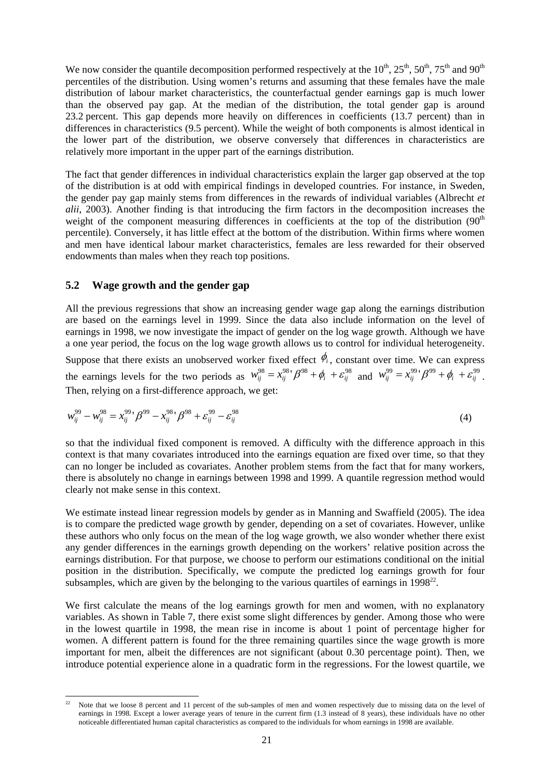We now consider the quantile decomposition performed respectively at the  $10^{th}$ ,  $25^{th}$ ,  $50^{th}$ ,  $75^{th}$  and  $90^{th}$ percentiles of the distribution. Using women's returns and assuming that these females have the male distribution of labour market characteristics, the counterfactual gender earnings gap is much lower than the observed pay gap. At the median of the distribution, the total gender gap is around 23.2 percent. This gap depends more heavily on differences in coefficients (13.7 percent) than in differences in characteristics (9.5 percent). While the weight of both components is almost identical in the lower part of the distribution, we observe conversely that differences in characteristics are relatively more important in the upper part of the earnings distribution.

The fact that gender differences in individual characteristics explain the larger gap observed at the top of the distribution is at odd with empirical findings in developed countries. For instance, in Sweden, the gender pay gap mainly stems from differences in the rewards of individual variables (Albrecht *et alii*, 2003). Another finding is that introducing the firm factors in the decomposition increases the weight of the component measuring differences in coefficients at the top of the distribution  $(90<sup>th</sup>$ percentile). Conversely, it has little effect at the bottom of the distribution. Within firms where women and men have identical labour market characteristics, females are less rewarded for their observed endowments than males when they reach top positions.

#### **5.2 Wage growth and the gender gap**

All the previous regressions that show an increasing gender wage gap along the earnings distribution are based on the earnings level in 1999. Since the data also include information on the level of earnings in 1998, we now investigate the impact of gender on the log wage growth. Although we have a one year period, the focus on the log wage growth allows us to control for individual heterogeneity.

Suppose that there exists an unobserved worker fixed effect  $\phi$ <sup>*i*</sup>, constant over time. We can express the earnings levels for the two periods as  $w_{ij}^{98} = x_{ij}^{98} \cdot \beta^{98} + \phi_i + \varepsilon_{ij}^{98}$  and  $w_{ij}^{99} = x_{ij}^{99} \cdot \beta^{99} + \phi_i + \varepsilon_{ij}^{99}$ . Then, relying on a first-difference approach, we get:

$$
w_{ij}^{99} - w_{ij}^{98} = x_{ij}^{99} \cdot \beta^{99} - x_{ij}^{98} \cdot \beta^{98} + \varepsilon_{ij}^{99} - \varepsilon_{ij}^{98}
$$
 (4)

so that the individual fixed component is removed. A difficulty with the difference approach in this context is that many covariates introduced into the earnings equation are fixed over time, so that they can no longer be included as covariates. Another problem stems from the fact that for many workers, there is absolutely no change in earnings between 1998 and 1999. A quantile regression method would clearly not make sense in this context.

We estimate instead linear regression models by gender as in Manning and Swaffield (2005). The idea is to compare the predicted wage growth by gender, depending on a set of covariates. However, unlike these authors who only focus on the mean of the log wage growth, we also wonder whether there exist any gender differences in the earnings growth depending on the workers' relative position across the earnings distribution. For that purpose, we choose to perform our estimations conditional on the initial position in the distribution. Specifically, we compute the predicted log earnings growth for four subsamples, which are given by the belonging to the various quartiles of earnings in  $1998^{22}$ .

We first calculate the means of the log earnings growth for men and women, with no explanatory variables. As shown in Table 7, there exist some slight differences by gender. Among those who were in the lowest quartile in 1998, the mean rise in income is about 1 point of percentage higher for women. A different pattern is found for the three remaining quartiles since the wage growth is more important for men, albeit the differences are not significant (about 0.30 percentage point). Then, we introduce potential experience alone in a quadratic form in the regressions. For the lowest quartile, we

l Note that we loose 8 percent and 11 percent of the sub-samples of men and women respectively due to missing data on the level of earnings in 1998. Except a lower average years of tenure in the current firm (1.3 instead of 8 years), these individuals have no other noticeable differentiated human capital characteristics as compared to the individuals for whom earnings in 1998 are available.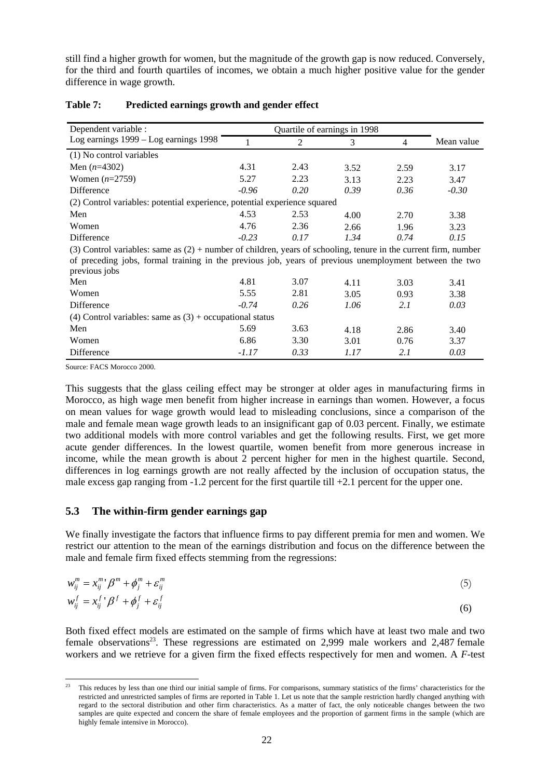still find a higher growth for women, but the magnitude of the growth gap is now reduced. Conversely, for the third and fourth quartiles of incomes, we obtain a much higher positive value for the gender difference in wage growth.

| Dependent variable :                                                                                                |         |      |      |                |            |  |  |  |
|---------------------------------------------------------------------------------------------------------------------|---------|------|------|----------------|------------|--|--|--|
| Log earnings $1999 - Log$ earnings $1998$                                                                           |         | 2    | 3    | $\overline{4}$ | Mean value |  |  |  |
| (1) No control variables                                                                                            |         |      |      |                |            |  |  |  |
| Men $(n=4302)$                                                                                                      | 4.31    | 2.43 | 3.52 | 2.59           | 3.17       |  |  |  |
| Women $(n=2759)$                                                                                                    | 5.27    | 2.23 | 3.13 | 2.23           | 3.47       |  |  |  |
| Difference                                                                                                          | $-0.96$ | 0.20 | 0.39 | 0.36           | $-0.30$    |  |  |  |
| (2) Control variables: potential experience, potential experience squared                                           |         |      |      |                |            |  |  |  |
| Men                                                                                                                 | 4.53    | 2.53 | 4.00 | 2.70           | 3.38       |  |  |  |
| Women                                                                                                               | 4.76    | 2.36 | 2.66 | 1.96           | 3.23       |  |  |  |
| Difference                                                                                                          | $-0.23$ | 0.17 | 1.34 | 0.74           | 0.15       |  |  |  |
| $(3)$ Control variables: same as $(2)$ + number of children, years of schooling, tenure in the current firm, number |         |      |      |                |            |  |  |  |
| of preceding jobs, formal training in the previous job, years of previous unemployment between the two              |         |      |      |                |            |  |  |  |
| previous jobs                                                                                                       |         |      |      |                |            |  |  |  |
| Men                                                                                                                 | 4.81    | 3.07 | 4.11 | 3.03           | 3.41       |  |  |  |
| Women                                                                                                               | 5.55    | 2.81 | 3.05 | 0.93           | 3.38       |  |  |  |
| Difference                                                                                                          | $-0.74$ | 0.26 | 1.06 | 2.1            | 0.03       |  |  |  |
| (4) Control variables: same as $(3)$ + occupational status                                                          |         |      |      |                |            |  |  |  |
| Men                                                                                                                 | 5.69    | 3.63 | 4.18 | 2.86           | 3.40       |  |  |  |
| Women                                                                                                               | 6.86    | 3.30 | 3.01 | 0.76           | 3.37       |  |  |  |
| Difference                                                                                                          | $-1.17$ | 0.33 | 1.17 | 2.1            | 0.03       |  |  |  |

#### **Table 7: Predicted earnings growth and gender effect**

Source: FACS Morocco 2000.

This suggests that the glass ceiling effect may be stronger at older ages in manufacturing firms in Morocco, as high wage men benefit from higher increase in earnings than women. However, a focus on mean values for wage growth would lead to misleading conclusions, since a comparison of the male and female mean wage growth leads to an insignificant gap of 0.03 percent. Finally, we estimate two additional models with more control variables and get the following results. First, we get more acute gender differences. In the lowest quartile, women benefit from more generous increase in income, while the mean growth is about 2 percent higher for men in the highest quartile. Second, differences in log earnings growth are not really affected by the inclusion of occupation status, the male excess gap ranging from -1.2 percent for the first quartile till +2.1 percent for the upper one.

#### **5.3 The within-firm gender earnings gap**

We finally investigate the factors that influence firms to pay different premia for men and women. We restrict our attention to the mean of the earnings distribution and focus on the difference between the male and female firm fixed effects stemming from the regressions:

$$
w_{ij}^m = x_{ij}^m' \beta^m + \phi_j^m + \varepsilon_{ij}^m
$$
  
\n
$$
w_j^f = x_{j}^f \beta^f + \phi^f + \varepsilon^f
$$
\n(5)

$$
w_{ij}^f = x_{ij}^f \cdot \beta^f + \phi_j^f + \varepsilon_{ij}^f \tag{6}
$$

Both fixed effect models are estimated on the sample of firms which have at least two male and two female observations<sup>23</sup>. These regressions are estimated on 2,999 male workers and 2,487 female workers and we retrieve for a given firm the fixed effects respectively for men and women. A *F*-test

l 23 This reduces by less than one third our initial sample of firms. For comparisons, summary statistics of the firms' characteristics for the restricted and unrestricted samples of firms are reported in Table 1. Let us note that the sample restriction hardly changed anything with regard to the sectoral distribution and other firm characteristics. As a matter of fact, the only noticeable changes between the two samples are quite expected and concern the share of female employees and the proportion of garment firms in the sample (which are highly female intensive in Morocco).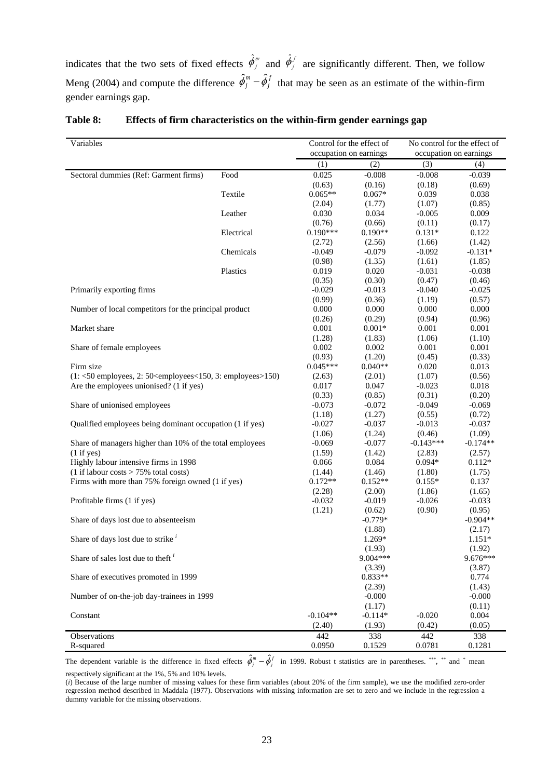indicates that the two sets of fixed effects  $\hat{\phi}_j^m$  and  $\hat{\phi}_j^f$  are significantly different. Then, we follow Meng (2004) and compute the difference  $\hat{\phi}_j^m - \hat{\phi}_j^f$  that may be seen as an estimate of the within-firm gender earnings gap.

| Variables                                                                               |            | Control for the effect of |                        | No control for the effect of |                        |  |
|-----------------------------------------------------------------------------------------|------------|---------------------------|------------------------|------------------------------|------------------------|--|
|                                                                                         |            |                           | occupation on earnings |                              | occupation on earnings |  |
|                                                                                         |            | (1)                       | (2)                    | (3)                          | (4)                    |  |
| Sectoral dummies (Ref: Garment firms)                                                   | Food       | 0.025                     | $-0.008$               | $-0.008$                     | $-0.039$               |  |
|                                                                                         |            | (0.63)                    | (0.16)                 | (0.18)                       | (0.69)                 |  |
|                                                                                         | Textile    | $0.065**$                 | $0.067*$               | 0.039                        | 0.038                  |  |
|                                                                                         |            | (2.04)                    | (1.77)                 | (1.07)                       | (0.85)                 |  |
|                                                                                         | Leather    | 0.030                     | 0.034                  | $-0.005$                     | 0.009                  |  |
|                                                                                         |            | (0.76)                    | (0.66)                 | (0.11)                       | (0.17)                 |  |
|                                                                                         | Electrical | $0.190***$                | $0.190**$              | $0.131*$                     | 0.122                  |  |
|                                                                                         |            | (2.72)                    | (2.56)                 | (1.66)                       | (1.42)                 |  |
|                                                                                         | Chemicals  | $-0.049$                  | $-0.079$               | $-0.092$                     | $-0.131*$              |  |
|                                                                                         |            | (0.98)                    | (1.35)                 | (1.61)                       | (1.85)                 |  |
|                                                                                         | Plastics   | 0.019                     | 0.020                  | $-0.031$                     | $-0.038$               |  |
|                                                                                         |            | (0.35)                    | (0.30)                 | (0.47)                       | (0.46)                 |  |
| Primarily exporting firms                                                               |            | $-0.029$                  | $-0.013$               | $-0.040$                     | $-0.025$               |  |
|                                                                                         |            | (0.99)                    | (0.36)                 | (1.19)                       | (0.57)                 |  |
| Number of local competitors for the principal product                                   |            | 0.000                     | 0.000                  | 0.000                        | 0.000                  |  |
|                                                                                         |            | (0.26)                    | (0.29)                 | (0.94)                       | (0.96)                 |  |
| Market share                                                                            |            | 0.001                     | $0.001*$               | 0.001                        | 0.001                  |  |
|                                                                                         |            | (1.28)                    | (1.83)                 | (1.06)                       | (1.10)                 |  |
| Share of female employees                                                               |            | 0.002                     | 0.002                  | 0.001                        | 0.001                  |  |
|                                                                                         |            | (0.93)                    | (1.20)                 | (0.45)                       | (0.33)                 |  |
| Firm size                                                                               |            | $0.045***$                | $0.040**$              | 0.020                        | 0.013                  |  |
| $(1: <50$ employees, 2: 50 <employees 150,="" 3:="" <="" employees=""> 150)</employees> |            | (2.63)                    | (2.01)                 | (1.07)                       | (0.56)                 |  |
| Are the employees unionised? (1 if yes)                                                 |            | 0.017                     | 0.047                  | $-0.023$                     | 0.018                  |  |
|                                                                                         |            | (0.33)                    | (0.85)                 | (0.31)                       | (0.20)                 |  |
| Share of unionised employees                                                            |            | $-0.073$                  | $-0.072$               | $-0.049$                     | $-0.069$               |  |
|                                                                                         |            | (1.18)                    | (1.27)                 | (0.55)                       | (0.72)                 |  |
| Qualified employees being dominant occupation (1 if yes)                                |            | $-0.027$                  | $-0.037$               | $-0.013$                     | $-0.037$               |  |
|                                                                                         |            | (1.06)                    | (1.24)                 | (0.46)                       | (1.09)                 |  |
| Share of managers higher than 10% of the total employees                                |            | $-0.069$                  | $-0.077$               | $-0.143***$                  | $-0.174**$             |  |
| (1 if yes)                                                                              |            | (1.59)                    | (1.42)                 | (2.83)                       | (2.57)                 |  |
| Highly labour intensive firms in 1998                                                   |            | 0.066                     | 0.084                  | $0.094*$                     | $0.112*$               |  |
| $(1$ if labour costs > 75% total costs)                                                 |            | (1.44)                    | (1.46)                 | (1.80)                       | (1.75)                 |  |
| Firms with more than 75% foreign owned (1 if yes)                                       |            | $0.172**$                 | $0.152**$              | $0.155*$                     | 0.137                  |  |
|                                                                                         |            | (2.28)                    | (2.00)                 | (1.86)                       | (1.65)                 |  |
| Profitable firms (1 if yes)                                                             |            | $-0.032$                  | $-0.019$               | $-0.026$                     | $-0.033$               |  |
|                                                                                         |            | (1.21)                    | (0.62)                 | (0.90)                       | (0.95)                 |  |
| Share of days lost due to absenteeism                                                   |            |                           | $-0.779*$              |                              | $-0.904**$             |  |
|                                                                                         |            |                           | (1.88)                 |                              | (2.17)                 |  |
| Share of days lost due to strike $i$                                                    |            |                           | 1.269*                 |                              | $1.151*$               |  |
|                                                                                         |            |                           | (1.93)                 |                              | (1.92)                 |  |
| Share of sales lost due to theft $\iota$                                                |            |                           | 9.004***               |                              | 9.676***               |  |
|                                                                                         |            |                           | (3.39)                 |                              | (3.87)                 |  |
| Share of executives promoted in 1999                                                    |            |                           | $0.833**$              |                              | 0.774                  |  |
|                                                                                         |            |                           | (2.39)                 |                              | (1.43)                 |  |
| Number of on-the-job day-trainees in 1999                                               |            |                           | $-0.000$               |                              | $-0.000$               |  |
|                                                                                         |            |                           | (1.17)                 |                              | (0.11)                 |  |
| Constant                                                                                |            | $-0.104**$                | $-0.114*$              | $-0.020$                     | 0.004                  |  |
|                                                                                         |            | (2.40)                    | (1.93)                 | (0.42)                       | (0.05)                 |  |
| Observations                                                                            |            | 442                       | 338                    | 442                          | 338                    |  |
| R-squared                                                                               |            | 0.0950                    | 0.1529                 | 0.0781                       | 0.1281                 |  |

#### **Table 8: Effects of firm characteristics on the within-firm gender earnings gap**

The dependent variable is the difference in fixed effects  $\hat{\phi}_j^m - \hat{\phi}_j^f$  in 1999. Robust t statistics are in parentheses. \*\*\*, \*\* and \* mean respectively significant at the 1%, 5% and 10% levels.

(*i*) Because of the large number of missing values for these firm variables (about 20% of the firm sample), we use the modified zero-order regression method described in Maddala (1977). Observations with missing information are set to zero and we include in the regression a dummy variable for the missing observations.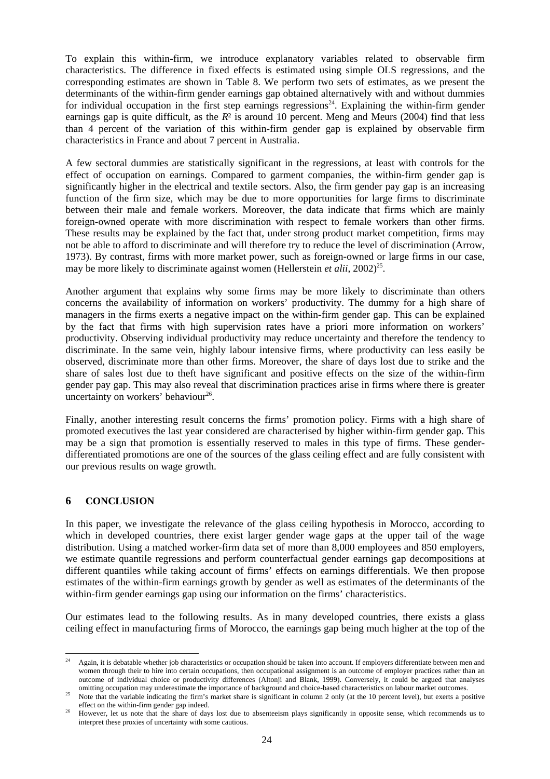To explain this within-firm, we introduce explanatory variables related to observable firm characteristics. The difference in fixed effects is estimated using simple OLS regressions, and the corresponding estimates are shown in Table 8. We perform two sets of estimates, as we present the determinants of the within-firm gender earnings gap obtained alternatively with and without dummies for individual occupation in the first step earnings regressions<sup>24</sup>. Explaining the within-firm gender earnings gap is quite difficult, as the  $R<sup>2</sup>$  is around 10 percent. Meng and Meurs (2004) find that less than 4 percent of the variation of this within-firm gender gap is explained by observable firm characteristics in France and about 7 percent in Australia.

A few sectoral dummies are statistically significant in the regressions, at least with controls for the effect of occupation on earnings. Compared to garment companies, the within-firm gender gap is significantly higher in the electrical and textile sectors. Also, the firm gender pay gap is an increasing function of the firm size, which may be due to more opportunities for large firms to discriminate between their male and female workers. Moreover, the data indicate that firms which are mainly foreign-owned operate with more discrimination with respect to female workers than other firms. These results may be explained by the fact that, under strong product market competition, firms may not be able to afford to discriminate and will therefore try to reduce the level of discrimination (Arrow, 1973). By contrast, firms with more market power, such as foreign-owned or large firms in our case, may be more likely to discriminate against women (Hellerstein *et alii*,  $2002)^{25}$ .

Another argument that explains why some firms may be more likely to discriminate than others concerns the availability of information on workers' productivity. The dummy for a high share of managers in the firms exerts a negative impact on the within-firm gender gap. This can be explained by the fact that firms with high supervision rates have a priori more information on workers' productivity. Observing individual productivity may reduce uncertainty and therefore the tendency to discriminate. In the same vein, highly labour intensive firms, where productivity can less easily be observed, discriminate more than other firms. Moreover, the share of days lost due to strike and the share of sales lost due to theft have significant and positive effects on the size of the within-firm gender pay gap. This may also reveal that discrimination practices arise in firms where there is greater uncertainty on workers' behaviour<sup>26</sup>.

Finally, another interesting result concerns the firms' promotion policy. Firms with a high share of promoted executives the last year considered are characterised by higher within-firm gender gap. This may be a sign that promotion is essentially reserved to males in this type of firms. These genderdifferentiated promotions are one of the sources of the glass ceiling effect and are fully consistent with our previous results on wage growth.

#### **6 CONCLUSION**

In this paper, we investigate the relevance of the glass ceiling hypothesis in Morocco, according to which in developed countries, there exist larger gender wage gaps at the upper tail of the wage distribution. Using a matched worker-firm data set of more than 8,000 employees and 850 employers, we estimate quantile regressions and perform counterfactual gender earnings gap decompositions at different quantiles while taking account of firms' effects on earnings differentials. We then propose estimates of the within-firm earnings growth by gender as well as estimates of the determinants of the within-firm gender earnings gap using our information on the firms' characteristics.

Our estimates lead to the following results. As in many developed countries, there exists a glass ceiling effect in manufacturing firms of Morocco, the earnings gap being much higher at the top of the

 $\overline{24}$ 24 Again, it is debatable whether job characteristics or occupation should be taken into account. If employers differentiate between men and women through their to hire into certain occupations, then occupational assignment is an outcome of employer practices rather than an outcome of individual choice or productivity differences (Altonji and Blank, 1999). Conversely, it could be argued that analyses

omitting occupation may underestimate the importance of background and choice-based characteristics on labour market outcomes.<br>Note that the variable indicating the firm's market share is significant in column 2 only (at t

effect on the within-firm gender gap indeed.<br>However, let us note that the share of days lost due to absenteeism plays significantly in opposite sense, which recommends us to interpret these proxies of uncertainty with some cautious.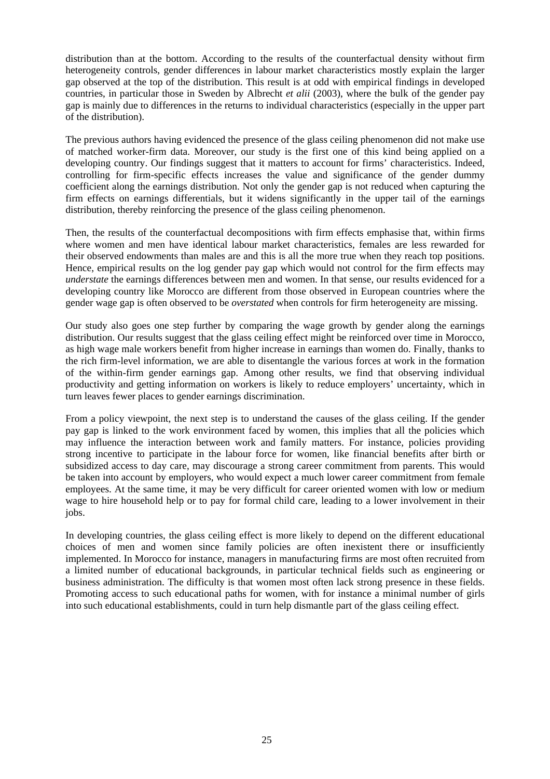distribution than at the bottom. According to the results of the counterfactual density without firm heterogeneity controls, gender differences in labour market characteristics mostly explain the larger gap observed at the top of the distribution. This result is at odd with empirical findings in developed countries, in particular those in Sweden by Albrecht *et alii* (2003), where the bulk of the gender pay gap is mainly due to differences in the returns to individual characteristics (especially in the upper part of the distribution).

The previous authors having evidenced the presence of the glass ceiling phenomenon did not make use of matched worker-firm data. Moreover, our study is the first one of this kind being applied on a developing country. Our findings suggest that it matters to account for firms' characteristics. Indeed, controlling for firm-specific effects increases the value and significance of the gender dummy coefficient along the earnings distribution. Not only the gender gap is not reduced when capturing the firm effects on earnings differentials, but it widens significantly in the upper tail of the earnings distribution, thereby reinforcing the presence of the glass ceiling phenomenon.

Then, the results of the counterfactual decompositions with firm effects emphasise that, within firms where women and men have identical labour market characteristics, females are less rewarded for their observed endowments than males are and this is all the more true when they reach top positions. Hence, empirical results on the log gender pay gap which would not control for the firm effects may *understate* the earnings differences between men and women. In that sense, our results evidenced for a developing country like Morocco are different from those observed in European countries where the gender wage gap is often observed to be *overstated* when controls for firm heterogeneity are missing.

Our study also goes one step further by comparing the wage growth by gender along the earnings distribution. Our results suggest that the glass ceiling effect might be reinforced over time in Morocco, as high wage male workers benefit from higher increase in earnings than women do. Finally, thanks to the rich firm-level information, we are able to disentangle the various forces at work in the formation of the within-firm gender earnings gap. Among other results, we find that observing individual productivity and getting information on workers is likely to reduce employers' uncertainty, which in turn leaves fewer places to gender earnings discrimination.

From a policy viewpoint, the next step is to understand the causes of the glass ceiling. If the gender pay gap is linked to the work environment faced by women, this implies that all the policies which may influence the interaction between work and family matters. For instance, policies providing strong incentive to participate in the labour force for women, like financial benefits after birth or subsidized access to day care, may discourage a strong career commitment from parents. This would be taken into account by employers, who would expect a much lower career commitment from female employees. At the same time, it may be very difficult for career oriented women with low or medium wage to hire household help or to pay for formal child care, leading to a lower involvement in their jobs.

In developing countries, the glass ceiling effect is more likely to depend on the different educational choices of men and women since family policies are often inexistent there or insufficiently implemented. In Morocco for instance, managers in manufacturing firms are most often recruited from a limited number of educational backgrounds, in particular technical fields such as engineering or business administration. The difficulty is that women most often lack strong presence in these fields. Promoting access to such educational paths for women, with for instance a minimal number of girls into such educational establishments, could in turn help dismantle part of the glass ceiling effect.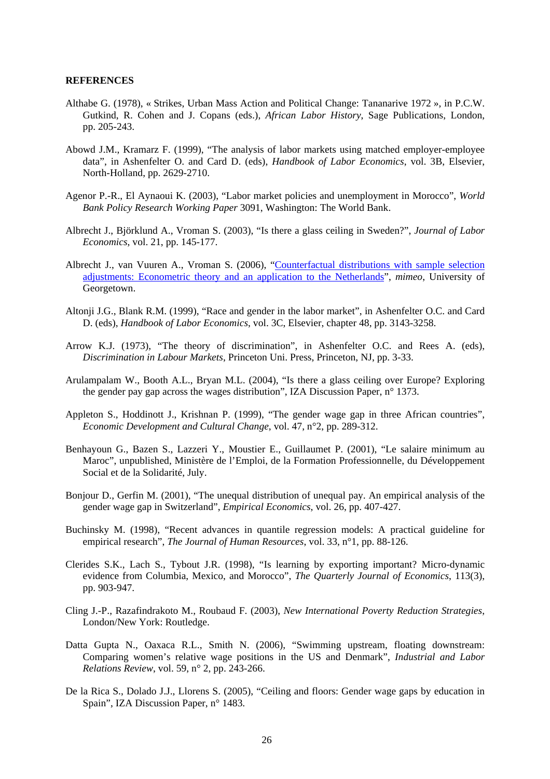#### **REFERENCES**

- Althabe G. (1978), « Strikes, Urban Mass Action and Political Change: Tananarive 1972 », in P.C.W. Gutkind, R. Cohen and J. Copans (eds.), *African Labor History*, Sage Publications, London, pp. 205-243.
- Abowd J.M., Kramarz F. (1999), "The analysis of labor markets using matched employer-employee data", in Ashenfelter O. and Card D. (eds), *Handbook of Labor Economics*, vol. 3B, Elsevier, North-Holland, pp. 2629-2710.
- Agenor P.-R., El Aynaoui K. (2003), "Labor market policies and unemployment in Morocco", *World Bank Policy Research Working Paper* 3091, Washington: The World Bank.
- Albrecht J., Björklund A., Vroman S. (2003), "Is there a glass ceiling in Sweden?", *Journal of Labor Economics*, vol. 21, pp. 145-177.
- Albrecht J., van Vuuren A., Vroman S. (2006), "Counterfactual distributions with sample selection adjustments: Econometric theory and an application to the Netherlands", *mimeo*, University of Georgetown.
- Altonji J.G., Blank R.M. (1999), "Race and gender in the labor market", in Ashenfelter O.C. and Card D. (eds), *Handbook of Labor Economics*, vol. 3C, Elsevier, chapter 48, pp. 3143-3258.
- Arrow K.J. (1973), "The theory of discrimination", in Ashenfelter O.C. and Rees A. (eds), *Discrimination in Labour Markets*, Princeton Uni. Press, Princeton, NJ, pp. 3-33.
- Arulampalam W., Booth A.L., Bryan M.L. (2004), "Is there a glass ceiling over Europe? Exploring the gender pay gap across the wages distribution", IZA Discussion Paper, n° 1373.
- Appleton S., Hoddinott J., Krishnan P. (1999), "The gender wage gap in three African countries", *Economic Development and Cultural Change*, vol. 47, n°2, pp. 289-312.
- Benhayoun G., Bazen S., Lazzeri Y., Moustier E., Guillaumet P. (2001), "Le salaire minimum au Maroc", unpublished, Ministère de l'Emploi, de la Formation Professionnelle, du Développement Social et de la Solidarité, July.
- Bonjour D., Gerfin M. (2001), "The unequal distribution of unequal pay. An empirical analysis of the gender wage gap in Switzerland", *Empirical Economics*, vol. 26, pp. 407-427.
- Buchinsky M. (1998), "Recent advances in quantile regression models: A practical guideline for empirical research", *The Journal of Human Resources*, vol. 33, n°1, pp. 88-126.
- Clerides S.K., Lach S., Tybout J.R. (1998), "Is learning by exporting important? Micro-dynamic evidence from Columbia, Mexico, and Morocco", *The Quarterly Journal of Economics*, 113(3), pp. 903-947.
- Cling J.-P., Razafindrakoto M., Roubaud F. (2003), *New International Poverty Reduction Strategies*, London/New York: Routledge.
- Datta Gupta N., Oaxaca R.L., Smith N. (2006), "Swimming upstream, floating downstream: Comparing women's relative wage positions in the US and Denmark", *Industrial and Labor Relations Review*, vol. 59, n° 2, pp. 243-266.
- De la Rica S., Dolado J.J., Llorens S. (2005), "Ceiling and floors: Gender wage gaps by education in Spain", IZA Discussion Paper, n° 1483.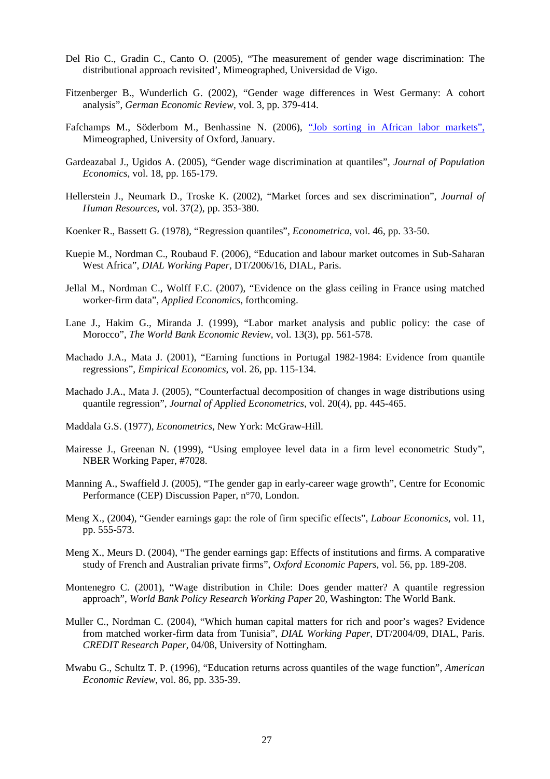- Del Rio C., Gradin C., Canto O. (2005), "The measurement of gender wage discrimination: The distributional approach revisited', Mimeographed, Universidad de Vigo.
- Fitzenberger B., Wunderlich G. (2002), "Gender wage differences in West Germany: A cohort analysis", *German Economic Review*, vol. 3, pp. 379-414.
- Fafchamps M., Söderbom M., Benhassine N. (2006), "Job sorting in African labor markets", Mimeographed, University of Oxford, January.
- Gardeazabal J., Ugidos A. (2005), "Gender wage discrimination at quantiles", *Journal of Population Economics*, vol. 18, pp. 165-179.
- Hellerstein J., Neumark D., Troske K. (2002), "Market forces and sex discrimination", *Journal of Human Resources*, vol. 37(2), pp. 353-380.
- Koenker R., Bassett G. (1978), "Regression quantiles", *Econometrica*, vol. 46, pp. 33-50.
- Kuepie M., Nordman C., Roubaud F. (2006), "Education and labour market outcomes in Sub-Saharan West Africa", *DIAL Working Paper*, DT/2006/16, DIAL, Paris.
- Jellal M., Nordman C., Wolff F.C. (2007), "Evidence on the glass ceiling in France using matched worker-firm data", *Applied Economics*, forthcoming.
- Lane J., Hakim G., Miranda J. (1999), "Labor market analysis and public policy: the case of Morocco", *The World Bank Economic Review*, vol. 13(3), pp. 561-578.
- Machado J.A., Mata J. (2001), "Earning functions in Portugal 1982-1984: Evidence from quantile regressions", *Empirical Economics*, vol. 26, pp. 115-134.
- Machado J.A., Mata J. (2005), "Counterfactual decomposition of changes in wage distributions using quantile regression", *Journal of Applied Econometrics*, vol. 20(4), pp. 445-465.
- Maddala G.S. (1977), *Econometrics*, New York: McGraw-Hill.
- Mairesse J., Greenan N. (1999), "Using employee level data in a firm level econometric Study", NBER Working Paper, #7028.
- Manning A., Swaffield J. (2005), "The gender gap in early-career wage growth", Centre for Economic Performance (CEP) Discussion Paper, n°70, London.
- Meng X., (2004), "Gender earnings gap: the role of firm specific effects", *Labour Economics*, vol. 11, pp. 555-573.
- Meng X., Meurs D. (2004), "The gender earnings gap: Effects of institutions and firms. A comparative study of French and Australian private firms", *Oxford Economic Papers*, vol. 56, pp. 189-208.
- Montenegro C. (2001), "Wage distribution in Chile: Does gender matter? A quantile regression approach", *World Bank Policy Research Working Paper* 20, Washington: The World Bank.
- Muller C., Nordman C. (2004), "Which human capital matters for rich and poor's wages? Evidence from matched worker-firm data from Tunisia", *DIAL Working Paper*, DT/2004/09, DIAL, Paris. *CREDIT Research Paper*, 04/08, University of Nottingham.
- Mwabu G., Schultz T. P. (1996), "Education returns across quantiles of the wage function", *American Economic Review*, vol. 86, pp. 335-39.